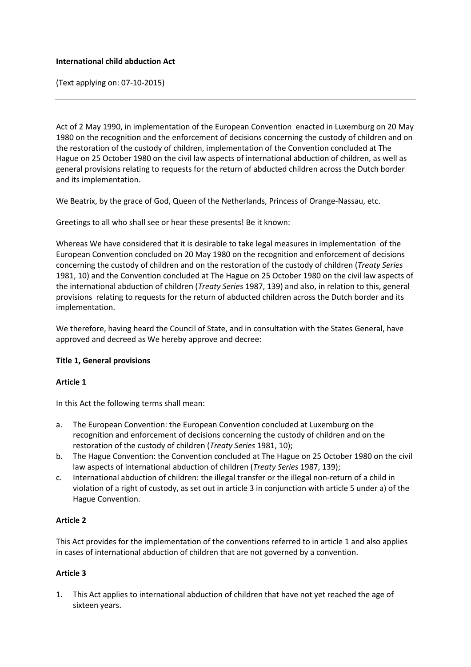#### **International child abduction Act**

(Text applying on: 07-10-2015)

Act of 2 May 1990, in implementation of the European Convention enacted in Luxemburg on 20 May 1980 on the recognition and the enforcement of decisions concerning the custody of children and on the restoration of the custody of children, implementation of the Convention concluded at The Hague on 25 October 1980 on the civil law aspects of international abduction of children, as well as general provisions relating to requests for the return of abducted children across the Dutch border and its implementation.

We Beatrix, by the grace of God, Queen of the Netherlands, Princess of Orange-Nassau, etc.

Greetings to all who shall see or hear these presents! Be it known:

Whereas We have considered that it is desirable to take legal measures in implementation of the European Convention concluded on 20 May 1980 on the recognition and enforcement of decisions concerning the custody of children and on the restoration of the custody of children (*Treaty Series* 1981, 10) and the Convention concluded at The Hague on 25 October 1980 on the civil law aspects of the international abduction of children (*Treaty Series* 1987, 139) and also, in relation to this, general provisions relating to requests for the return of abducted children across the Dutch border and its implementation.

We therefore, having heard the Council of State, and in consultation with the States General, have approved and decreed as We hereby approve and decree:

#### **Title 1, General provisions**

#### **Article 1**

In this Act the following terms shall mean:

- a. The European Convention: the European Convention concluded at Luxemburg on the recognition and enforcement of decisions concerning the custody of children and on the restoration of the custody of children (*Treaty Series* 1981, 10);
- b. The Hague Convention: the Convention concluded at The Hague on 25 October 1980 on the civil law aspects of international abduction of children (*Treaty Series* 1987, 139);
- c. International abduction of children: the illegal transfer or the illegal non-return of a child in violation of a right of custody, as set out in article 3 in conjunction with article 5 under a) of the Hague Convention.

#### **Article 2**

This Act provides for the implementation of the conventions referred to in article 1 and also applies in cases of international abduction of children that are not governed by a convention.

#### **Article 3**

1. This Act applies to international abduction of children that have not yet reached the age of sixteen years.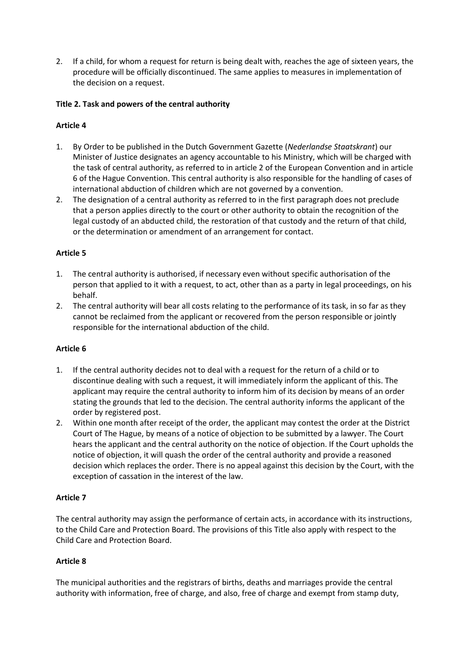2. If a child, for whom a request for return is being dealt with, reaches the age of sixteen years, the procedure will be officially discontinued. The same applies to measures in implementation of the decision on a request.

#### **Title 2. Task and powers of the central authority**

#### **Article 4**

- 1. By Order to be published in the Dutch Government Gazette (*Nederlandse Staatskrant*) our Minister of Justice designates an agency accountable to his Ministry, which will be charged with the task of central authority, as referred to in article 2 of the European Convention and in article 6 of the Hague Convention. This central authority is also responsible for the handling of cases of international abduction of children which are not governed by a convention.
- 2. The designation of a central authority as referred to in the first paragraph does not preclude that a person applies directly to the court or other authority to obtain the recognition of the legal custody of an abducted child, the restoration of that custody and the return of that child, or the determination or amendment of an arrangement for contact.

#### **Article 5**

- 1. The central authority is authorised, if necessary even without specific authorisation of the person that applied to it with a request, to act, other than as a party in legal proceedings, on his behalf.
- 2. The central authority will bear all costs relating to the performance of its task, in so far as they cannot be reclaimed from the applicant or recovered from the person responsible or jointly responsible for the international abduction of the child.

#### **Article 6**

- 1. If the central authority decides not to deal with a request for the return of a child or to discontinue dealing with such a request, it will immediately inform the applicant of this. The applicant may require the central authority to inform him of its decision by means of an order stating the grounds that led to the decision. The central authority informs the applicant of the order by registered post.
- 2. Within one month after receipt of the order, the applicant may contest the order at the District Court of The Hague, by means of a notice of objection to be submitted by a lawyer. The Court hears the applicant and the central authority on the notice of objection. If the Court upholds the notice of objection, it will quash the order of the central authority and provide a reasoned decision which replaces the order. There is no appeal against this decision by the Court, with the exception of cassation in the interest of the law.

#### **Article 7**

The central authority may assign the performance of certain acts, in accordance with its instructions, to the Child Care and Protection Board. The provisions of this Title also apply with respect to the Child Care and Protection Board.

#### **Article 8**

The municipal authorities and the registrars of births, deaths and marriages provide the central authority with information, free of charge, and also, free of charge and exempt from stamp duty,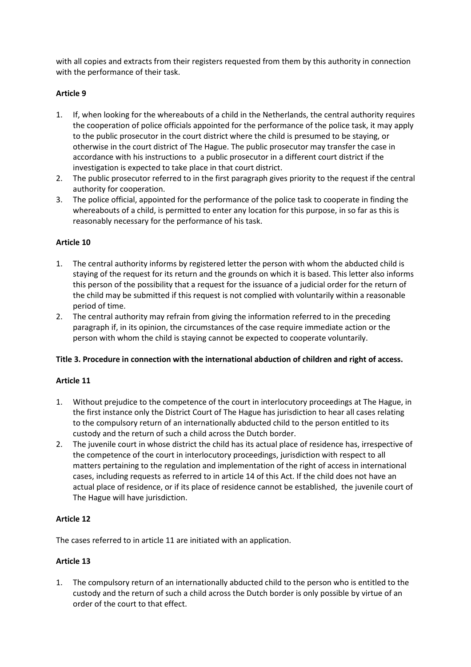with all copies and extracts from their registers requested from them by this authority in connection with the performance of their task.

#### **Article 9**

- 1. If, when looking for the whereabouts of a child in the Netherlands, the central authority requires the cooperation of police officials appointed for the performance of the police task, it may apply to the public prosecutor in the court district where the child is presumed to be staying, or otherwise in the court district of The Hague. The public prosecutor may transfer the case in accordance with his instructions to a public prosecutor in a different court district if the investigation is expected to take place in that court district.
- 2. The public prosecutor referred to in the first paragraph gives priority to the request if the central authority for cooperation.
- 3. The police official, appointed for the performance of the police task to cooperate in finding the whereabouts of a child, is permitted to enter any location for this purpose, in so far as this is reasonably necessary for the performance of his task.

### **Article 10**

- 1. The central authority informs by registered letter the person with whom the abducted child is staying of the request for its return and the grounds on which it is based. This letter also informs this person of the possibility that a request for the issuance of a judicial order for the return of the child may be submitted if this request is not complied with voluntarily within a reasonable period of time.
- 2. The central authority may refrain from giving the information referred to in the preceding paragraph if, in its opinion, the circumstances of the case require immediate action or the person with whom the child is staying cannot be expected to cooperate voluntarily.

#### **Title 3. Procedure in connection with the international abduction of children and right of access.**

#### **Article 11**

- 1. Without prejudice to the competence of the court in interlocutory proceedings at The Hague, in the first instance only the District Court of The Hague has jurisdiction to hear all cases relating to the compulsory return of an internationally abducted child to the person entitled to its custody and the return of such a child across the Dutch border.
- 2. The juvenile court in whose district the child has its actual place of residence has, irrespective of the competence of the court in interlocutory proceedings, jurisdiction with respect to all matters pertaining to the regulation and implementation of the right of access in international cases, including requests as referred to in article 14 of this Act. If the child does not have an actual place of residence, or if its place of residence cannot be established, the juvenile court of The Hague will have jurisdiction.

#### **Article 12**

The cases referred to in article 11 are initiated with an application.

#### **Article 13**

1. The compulsory return of an internationally abducted child to the person who is entitled to the custody and the return of such a child across the Dutch border is only possible by virtue of an order of the court to that effect.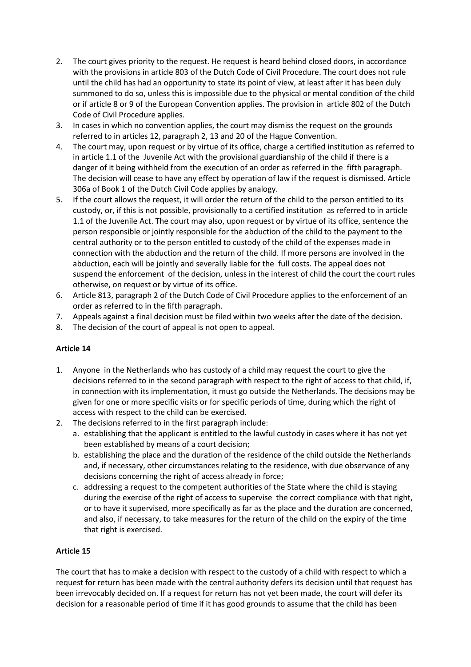- 2. The court gives priority to the request. He request is heard behind closed doors, in accordance with the provisions in article 803 of the Dutch Code of Civil Procedure. The court does not rule until the child has had an opportunity to state its point of view, at least after it has been duly summoned to do so, unless this is impossible due to the physical or mental condition of the child or if article 8 or 9 of the European Convention applies. The provision in article 802 of the Dutch Code of Civil Procedure applies.
- 3. In cases in which no convention applies, the court may dismiss the request on the grounds referred to in articles 12, paragraph 2, 13 and 20 of the Hague Convention.
- 4. The court may, upon request or by virtue of its office, charge a certified institution as referred to in article 1.1 of the Juvenile Act with the provisional guardianship of the child if there is a danger of it being withheld from the execution of an order as referred in the fifth paragraph. The decision will cease to have any effect by operation of law if the request is dismissed. Article 306a of Book 1 of the Dutch Civil Code applies by analogy.
- 5. If the court allows the request, it will order the return of the child to the person entitled to its custody, or, if this is not possible, provisionally to a certified institution as referred to in article 1.1 of the Juvenile Act. The court may also, upon request or by virtue of its office, sentence the person responsible or jointly responsible for the abduction of the child to the payment to the central authority or to the person entitled to custody of the child of the expenses made in connection with the abduction and the return of the child. If more persons are involved in the abduction, each will be jointly and severally liable for the full costs. The appeal does not suspend the enforcement of the decision, unless in the interest of child the court the court rules otherwise, on request or by virtue of its office.
- 6. Article 813, paragraph 2 of the Dutch Code of Civil Procedure applies to the enforcement of an order as referred to in the fifth paragraph.
- 7. Appeals against a final decision must be filed within two weeks after the date of the decision.
- 8. The decision of the court of appeal is not open to appeal.

#### **Article 14**

- 1. Anyone in the Netherlands who has custody of a child may request the court to give the decisions referred to in the second paragraph with respect to the right of access to that child, if, in connection with its implementation, it must go outside the Netherlands. The decisions may be given for one or more specific visits or for specific periods of time, during which the right of access with respect to the child can be exercised.
- 2. The decisions referred to in the first paragraph include:
	- a. establishing that the applicant is entitled to the lawful custody in cases where it has not yet been established by means of a court decision;
	- b. establishing the place and the duration of the residence of the child outside the Netherlands and, if necessary, other circumstances relating to the residence, with due observance of any decisions concerning the right of access already in force;
	- c. addressing a request to the competent authorities of the State where the child is staying during the exercise of the right of access to supervise the correct compliance with that right, or to have it supervised, more specifically as far as the place and the duration are concerned, and also, if necessary, to take measures for the return of the child on the expiry of the time that right is exercised.

#### **Article 15**

The court that has to make a decision with respect to the custody of a child with respect to which a request for return has been made with the central authority defers its decision until that request has been irrevocably decided on. If a request for return has not yet been made, the court will defer its decision for a reasonable period of time if it has good grounds to assume that the child has been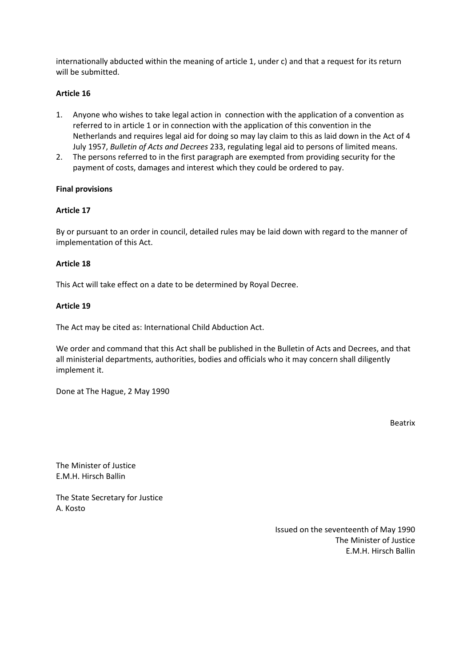internationally abducted within the meaning of article 1, under c) and that a request for its return will be submitted.

#### **Article 16**

- 1. Anyone who wishes to take legal action in connection with the application of a convention as referred to in article 1 or in connection with the application of this convention in the Netherlands and requires legal aid for doing so may lay claim to this as laid down in the Act of 4 July 1957, *Bulletin of Acts and Decrees* 233, regulating legal aid to persons of limited means.
- 2. The persons referred to in the first paragraph are exempted from providing security for the payment of costs, damages and interest which they could be ordered to pay.

#### **Final provisions**

#### **Article 17**

By or pursuant to an order in council, detailed rules may be laid down with regard to the manner of implementation of this Act.

#### **Article 18**

This Act will take effect on a date to be determined by Royal Decree.

#### **Article 19**

The Act may be cited as: International Child Abduction Act.

We order and command that this Act shall be published in the Bulletin of Acts and Decrees, and that all ministerial departments, authorities, bodies and officials who it may concern shall diligently implement it.

Done at The Hague, 2 May 1990

Beatrix

The Minister of Justice E.M.H. Hirsch Ballin

The State Secretary for Justice A. Kosto

> Issued on the seventeenth of May 1990 The Minister of Justice E.M.H. Hirsch Ballin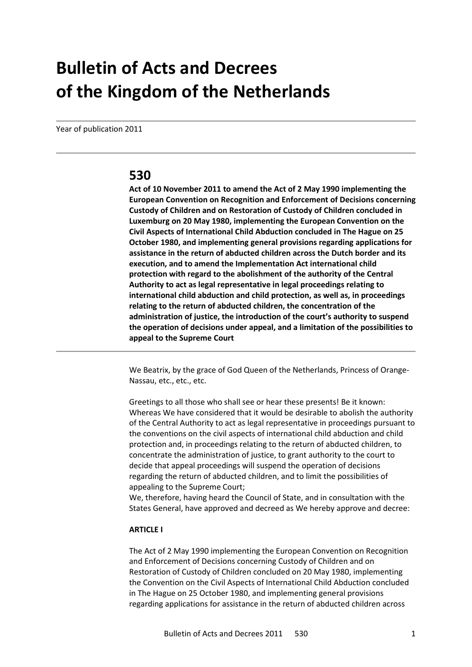# **Bulletin of Acts and Decrees of the Kingdom of the Netherlands**

Year of publication 2011

# **530**

**Act of 10 November 2011 to amend the Act of 2 May 1990 implementing the European Convention on Recognition and Enforcement of Decisions concerning Custody of Children and on Restoration of Custody of Children concluded in Luxemburg on 20 May 1980, implementing the European Convention on the Civil Aspects of International Child Abduction concluded in The Hague on 25 October 1980, and implementing general provisions regarding applications for assistance in the return of abducted children across the Dutch border and its execution, and to amend the Implementation Act international child protection with regard to the abolishment of the authority of the Central Authority to act as legal representative in legal proceedings relating to international child abduction and child protection, as well as, in proceedings relating to the return of abducted children, the concentration of the administration of justice, the introduction of the court's authority to suspend the operation of decisions under appeal, and a limitation of the possibilities to appeal to the Supreme Court**

We Beatrix, by the grace of God Queen of the Netherlands, Princess of Orange-Nassau, etc., etc., etc.

Greetings to all those who shall see or hear these presents! Be it known: Whereas We have considered that it would be desirable to abolish the authority of the Central Authority to act as legal representative in proceedings pursuant to the conventions on the civil aspects of international child abduction and child protection and, in proceedings relating to the return of abducted children, to concentrate the administration of justice, to grant authority to the court to decide that appeal proceedings will suspend the operation of decisions regarding the return of abducted children, and to limit the possibilities of appealing to the Supreme Court;

We, therefore, having heard the Council of State, and in consultation with the States General, have approved and decreed as We hereby approve and decree:

#### **ARTICLE I**

The Act of 2 May 1990 implementing the European Convention on Recognition and Enforcement of Decisions concerning Custody of Children and on Restoration of Custody of Children concluded on 20 May 1980, implementing the Convention on the Civil Aspects of International Child Abduction concluded in The Hague on 25 October 1980, and implementing general provisions regarding applications for assistance in the return of abducted children across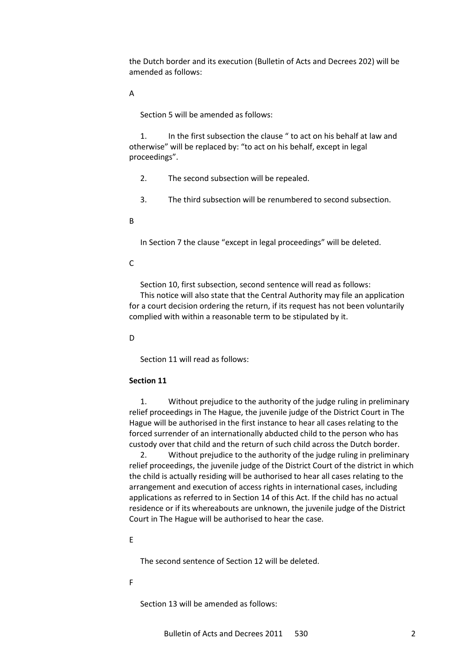the Dutch border and its execution (Bulletin of Acts and Decrees 202) will be amended as follows:

A

Section 5 will be amended as follows:

1. In the first subsection the clause " to act on his behalf at law and otherwise" will be replaced by: "to act on his behalf, except in legal proceedings".

- 2. The second subsection will be repealed.
- 3. The third subsection will be renumbered to second subsection.
- B

In Section 7 the clause "except in legal proceedings" will be deleted.

 $\mathsf{C}$ 

Section 10, first subsection, second sentence will read as follows:

This notice will also state that the Central Authority may file an application for a court decision ordering the return, if its request has not been voluntarily complied with within a reasonable term to be stipulated by it.

D

Section 11 will read as follows:

#### **Section 11**

1. Without prejudice to the authority of the judge ruling in preliminary relief proceedings in The Hague, the juvenile judge of the District Court in The Hague will be authorised in the first instance to hear all cases relating to the forced surrender of an internationally abducted child to the person who has custody over that child and the return of such child across the Dutch border.

2. Without prejudice to the authority of the judge ruling in preliminary relief proceedings, the juvenile judge of the District Court of the district in which the child is actually residing will be authorised to hear all cases relating to the arrangement and execution of access rights in international cases, including applications as referred to in Section 14 of this Act. If the child has no actual residence or if its whereabouts are unknown, the juvenile judge of the District Court in The Hague will be authorised to hear the case.

E

The second sentence of Section 12 will be deleted.

F

Section 13 will be amended as follows: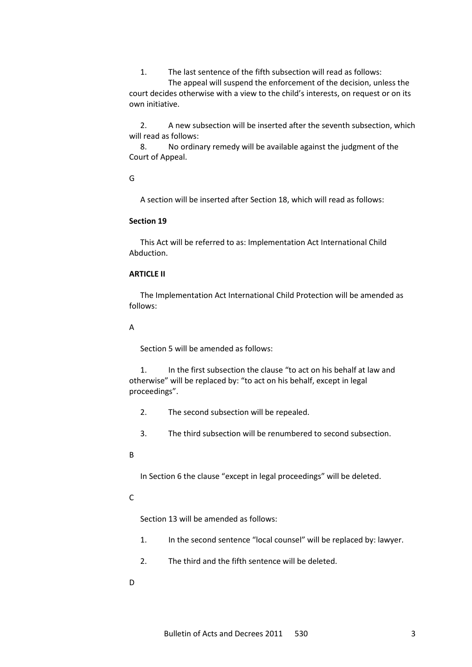1. The last sentence of the fifth subsection will read as follows:

The appeal will suspend the enforcement of the decision, unless the court decides otherwise with a view to the child's interests, on request or on its own initiative.

2. A new subsection will be inserted after the seventh subsection, which will read as follows:

8. No ordinary remedy will be available against the judgment of the Court of Appeal.

G

A section will be inserted after Section 18, which will read as follows:

#### **Section 19**

This Act will be referred to as: Implementation Act International Child Abduction.

#### **ARTICLE II**

The Implementation Act International Child Protection will be amended as follows:

#### A

Section 5 will be amended as follows:

1. In the first subsection the clause "to act on his behalf at law and otherwise" will be replaced by: "to act on his behalf, except in legal proceedings".

- 2. The second subsection will be repealed.
- 3. The third subsection will be renumbered to second subsection.
- B

In Section 6 the clause "except in legal proceedings" will be deleted.

#### C

Section 13 will be amended as follows:

- 1. In the second sentence "local counsel" will be replaced by: lawyer.
- 2. The third and the fifth sentence will be deleted.
- D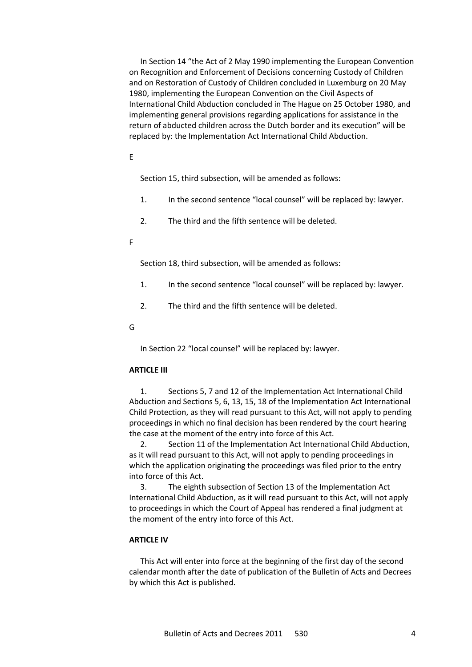In Section 14 "the Act of 2 May 1990 implementing the European Convention on Recognition and Enforcement of Decisions concerning Custody of Children and on Restoration of Custody of Children concluded in Luxemburg on 20 May 1980, implementing the European Convention on the Civil Aspects of International Child Abduction concluded in The Hague on 25 October 1980, and implementing general provisions regarding applications for assistance in the return of abducted children across the Dutch border and its execution" will be replaced by: the Implementation Act International Child Abduction.

#### E

Section 15, third subsection, will be amended as follows:

- 1. In the second sentence "local counsel" will be replaced by: lawyer.
- 2. The third and the fifth sentence will be deleted.
- F

Section 18, third subsection, will be amended as follows:

- 1. In the second sentence "local counsel" will be replaced by: lawyer.
- 2. The third and the fifth sentence will be deleted.
- G

In Section 22 "local counsel" will be replaced by: lawyer.

#### **ARTICLE III**

1. Sections 5, 7 and 12 of the Implementation Act International Child Abduction and Sections 5, 6, 13, 15, 18 of the Implementation Act International Child Protection, as they will read pursuant to this Act, will not apply to pending proceedings in which no final decision has been rendered by the court hearing the case at the moment of the entry into force of this Act.

2. Section 11 of the Implementation Act International Child Abduction, as it will read pursuant to this Act, will not apply to pending proceedings in which the application originating the proceedings was filed prior to the entry into force of this Act.

3. The eighth subsection of Section 13 of the Implementation Act International Child Abduction, as it will read pursuant to this Act, will not apply to proceedings in which the Court of Appeal has rendered a final judgment at the moment of the entry into force of this Act.

#### **ARTICLE IV**

This Act will enter into force at the beginning of the first day of the second calendar month after the date of publication of the Bulletin of Acts and Decrees by which this Act is published.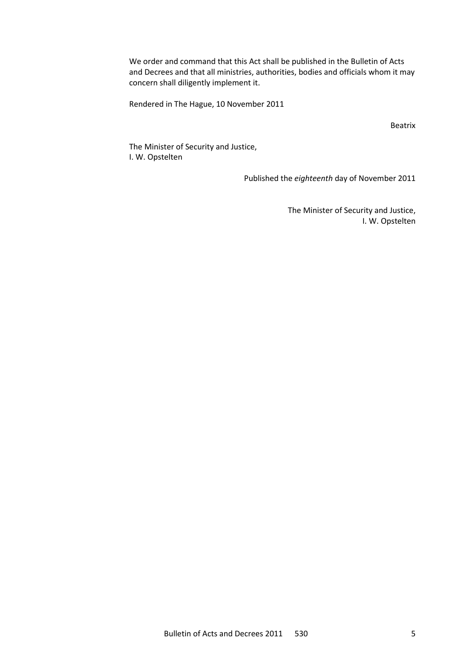We order and command that this Act shall be published in the Bulletin of Acts and Decrees and that all ministries, authorities, bodies and officials whom it may concern shall diligently implement it.

Rendered in The Hague, 10 November 2011

Beatrix

The Minister of Security and Justice, I. W. Opstelten

Published the *eighteenth* day of November 2011

The Minister of Security and Justice, I. W. Opstelten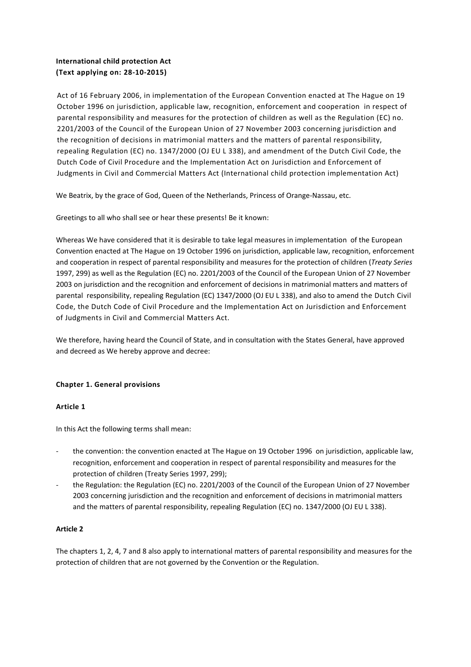#### **International child protection Act (Text applying on: 28-10-2015)**

Act of 16 February 2006, in implementation of the European Convention enacted at The Hague on 19 October 1996 on jurisdiction, applicable law, recognition, enforcement and cooperation in respect of parental responsibility and measures for the protection of children as well as the Regulation (EC) no. 2201/2003 of the Council of the European Union of 27 November 2003 concerning jurisdiction and the recognition of decisions in matrimonial matters and the matters of parental responsibility, repealing Regulation (EC) no. 1347/2000 (OJ EU L 338), and amendment of the Dutch Civil Code, the Dutch Code of Civil Procedure and the Implementation Act on Jurisdiction and Enforcement of Judgments in Civil and Commercial Matters Act (International child protection implementation Act)

We Beatrix, by the grace of God, Queen of the Netherlands, Princess of Orange-Nassau, etc.

Greetings to all who shall see or hear these presents! Be it known:

Whereas We have considered that it is desirable to take legal measures in implementation of the European Convention enacted at The Hague on 19 October 1996 on jurisdiction, applicable law, recognition, enforcement and cooperation in respect of parental responsibility and measures for the protection of children (*Treaty Series* 1997, 299) as well as the Regulation (EC) no. 2201/2003 of the Council of the European Union of 27 November 2003 on jurisdiction and the recognition and enforcement of decisions in matrimonial matters and matters of parental responsibility, repealing Regulation (EC) 1347/2000 (OJ EU L 338), and also to amend the Dutch Civil Code, the Dutch Code of Civil Procedure and the Implementation Act on Jurisdiction and Enforcement of Judgments in Civil and Commercial Matters Act.

We therefore, having heard the Council of State, and in consultation with the States General, have approved and decreed as We hereby approve and decree:

#### **Chapter 1. General provisions**

#### **Article 1**

In this Act the following terms shall mean:

- the convention: the convention enacted at The Hague on 19 October 1996 on jurisdiction, applicable law, recognition, enforcement and cooperation in respect of parental responsibility and measures for the protection of children (Treaty Series 1997, 299);
- the Regulation: the Regulation (EC) no. 2201/2003 of the Council of the European Union of 27 November 2003 concerning jurisdiction and the recognition and enforcement of decisions in matrimonial matters and the matters of parental responsibility, repealing Regulation (EC) no. 1347/2000 (OJ EU L 338).

#### **Article 2**

The chapters 1, 2, 4, 7 and 8 also apply to international matters of parental responsibility and measures for the protection of children that are not governed by the Convention or the Regulation.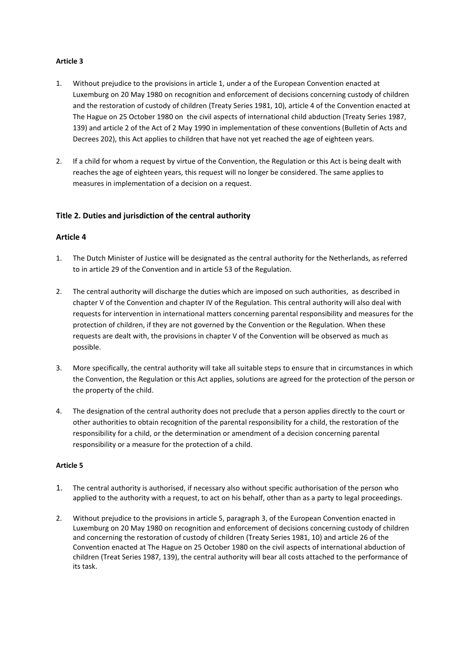#### **Article 3**

- 1. Without prejudice to the provisions in article 1, under a of the European Convention enacted at Luxemburg on 20 May 1980 on recognition and enforcement of decisions concerning custody of children and the restoration of custody of children (Treaty Series 1981, 10), article 4 of the Convention enacted at The Hague on 25 October 1980 on the civil aspects of international child abduction (Treaty Series 1987, 139) and article 2 of the Act of 2 May 1990 in implementation of these conventions (Bulletin of Acts and Decrees 202), this Act applies to children that have not yet reached the age of eighteen years.
- 2. If a child for whom a request by virtue of the Convention, the Regulation or this Act is being dealt with reaches the age of eighteen years, this request will no longer be considered. The same applies to measures in implementation of a decision on a request.

#### **Title 2. Duties and jurisdiction of the central authority**

#### **Article 4**

- 1. The Dutch Minister of Justice will be designated as the central authority for the Netherlands, as referred to in article 29 of the Convention and in article 53 of the Regulation.
- 2. The central authority will discharge the duties which are imposed on such authorities, as described in chapter V of the Convention and chapter IV of the Regulation. This central authority will also deal with requests for intervention in international matters concerning parental responsibility and measures for the protection of children, if they are not governed by the Convention or the Regulation. When these requests are dealt with, the provisions in chapter V of the Convention will be observed as much as possible.
- 3. More specifically, the central authority will take all suitable steps to ensure that in circumstances in which the Convention, the Regulation or this Act applies, solutions are agreed for the protection of the person or the property of the child.
- 4. The designation of the central authority does not preclude that a person applies directly to the court or other authorities to obtain recognition of the parental responsibility for a child, the restoration of the responsibility for a child, or the determination or amendment of a decision concerning parental responsibility or a measure for the protection of a child.

- 1. The central authority is authorised, if necessary also without specific authorisation of the person who applied to the authority with a request, to act on his behalf, other than as a party to legal proceedings.
- 2. Without prejudice to the provisions in article 5, paragraph 3, of the European Convention enacted in Luxemburg on 20 May 1980 on recognition and enforcement of decisions concerning custody of children and concerning the restoration of custody of children (Treaty Series 1981, 10) and article 26 of the Convention enacted at The Hague on 25 October 1980 on the civil aspects of international abduction of children (Treat Series 1987, 139), the central authority will bear all costs attached to the performance of its task.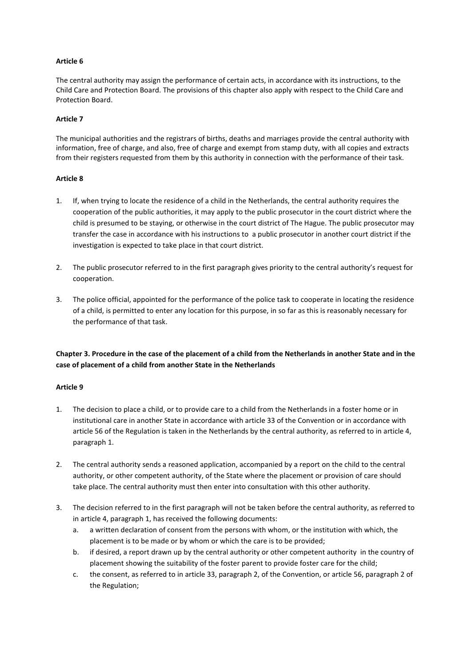#### **Article 6**

The central authority may assign the performance of certain acts, in accordance with its instructions, to the Child Care and Protection Board. The provisions of this chapter also apply with respect to the Child Care and Protection Board.

#### **Article 7**

The municipal authorities and the registrars of births, deaths and marriages provide the central authority with information, free of charge, and also, free of charge and exempt from stamp duty, with all copies and extracts from their registers requested from them by this authority in connection with the performance of their task.

#### **Article 8**

- 1. If, when trying to locate the residence of a child in the Netherlands, the central authority requires the cooperation of the public authorities, it may apply to the public prosecutor in the court district where the child is presumed to be staying, or otherwise in the court district of The Hague. The public prosecutor may transfer the case in accordance with his instructions to a public prosecutor in another court district if the investigation is expected to take place in that court district.
- 2. The public prosecutor referred to in the first paragraph gives priority to the central authority's request for cooperation.
- 3. The police official, appointed for the performance of the police task to cooperate in locating the residence of a child, is permitted to enter any location for this purpose, in so far as this is reasonably necessary for the performance of that task.

**Chapter 3. Procedure in the case of the placement of a child from the Netherlands in another State and in the case of placement of a child from another State in the Netherlands** 

- 1. The decision to place a child, or to provide care to a child from the Netherlands in a foster home or in institutional care in another State in accordance with article 33 of the Convention or in accordance with article 56 of the Regulation is taken in the Netherlands by the central authority, as referred to in article 4, paragraph 1.
- 2. The central authority sends a reasoned application, accompanied by a report on the child to the central authority, or other competent authority, of the State where the placement or provision of care should take place. The central authority must then enter into consultation with this other authority.
- 3. The decision referred to in the first paragraph will not be taken before the central authority, as referred to in article 4, paragraph 1, has received the following documents:
	- a. a written declaration of consent from the persons with whom, or the institution with which, the placement is to be made or by whom or which the care is to be provided;
	- b. if desired, a report drawn up by the central authority or other competent authority in the country of placement showing the suitability of the foster parent to provide foster care for the child;
	- c. the consent, as referred to in article 33, paragraph 2, of the Convention, or article 56, paragraph 2 of the Regulation;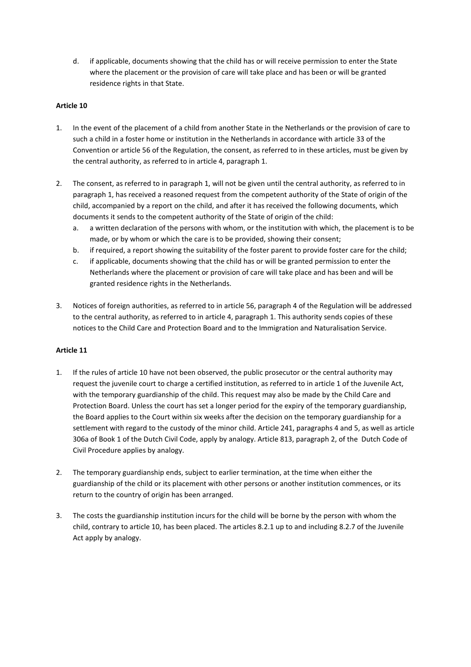d. if applicable, documents showing that the child has or will receive permission to enter the State where the placement or the provision of care will take place and has been or will be granted residence rights in that State.

#### **Article 10**

- 1. In the event of the placement of a child from another State in the Netherlands or the provision of care to such a child in a foster home or institution in the Netherlands in accordance with article 33 of the Convention or article 56 of the Regulation, the consent, as referred to in these articles, must be given by the central authority, as referred to in article 4, paragraph 1.
- 2. The consent, as referred to in paragraph 1, will not be given until the central authority, as referred to in paragraph 1, has received a reasoned request from the competent authority of the State of origin of the child, accompanied by a report on the child, and after it has received the following documents, which documents it sends to the competent authority of the State of origin of the child:
	- a. a written declaration of the persons with whom, or the institution with which, the placement is to be made, or by whom or which the care is to be provided, showing their consent;
	- b. if required, a report showing the suitability of the foster parent to provide foster care for the child;
	- c. if applicable, documents showing that the child has or will be granted permission to enter the Netherlands where the placement or provision of care will take place and has been and will be granted residence rights in the Netherlands.
- 3. Notices of foreign authorities, as referred to in article 56, paragraph 4 of the Regulation will be addressed to the central authority, as referred to in article 4, paragraph 1. This authority sends copies of these notices to the Child Care and Protection Board and to the Immigration and Naturalisation Service.

- 1. If the rules of article 10 have not been observed, the public prosecutor or the central authority may request the juvenile court to charge a certified institution, as referred to in article 1 of the Juvenile Act, with the temporary guardianship of the child. This request may also be made by the Child Care and Protection Board. Unless the court has set a longer period for the expiry of the temporary guardianship, the Board applies to the Court within six weeks after the decision on the temporary guardianship for a settlement with regard to the custody of the minor child. Article 241, paragraphs 4 and 5, as well as article 306a of Book 1 of the Dutch Civil Code, apply by analogy. Article 813, paragraph 2, of the Dutch Code of Civil Procedure applies by analogy.
- 2. The temporary guardianship ends, subject to earlier termination, at the time when either the guardianship of the child or its placement with other persons or another institution commences, or its return to the country of origin has been arranged.
- 3. The costs the guardianship institution incurs for the child will be borne by the person with whom the child, contrary to article 10, has been placed. The articles 8.2.1 up to and including 8.2.7 of the Juvenile Act apply by analogy.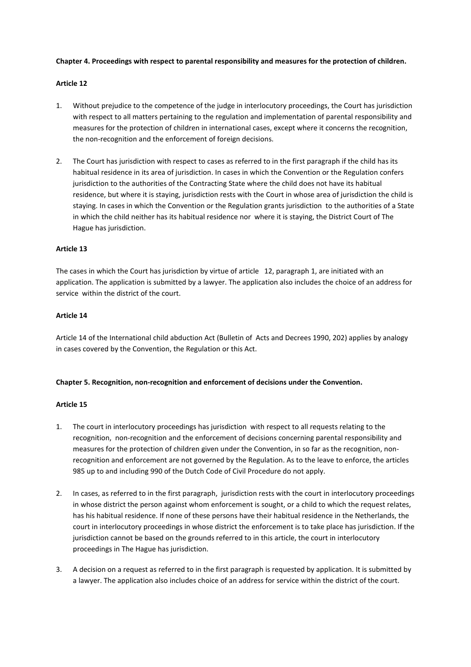#### **Chapter 4. Proceedings with respect to parental responsibility and measures for the protection of children.**

#### **Article 12**

- 1. Without prejudice to the competence of the judge in interlocutory proceedings, the Court has jurisdiction with respect to all matters pertaining to the regulation and implementation of parental responsibility and measures for the protection of children in international cases, except where it concerns the recognition, the non-recognition and the enforcement of foreign decisions.
- 2. The Court has jurisdiction with respect to cases as referred to in the first paragraph if the child has its habitual residence in its area of jurisdiction. In cases in which the Convention or the Regulation confers jurisdiction to the authorities of the Contracting State where the child does not have its habitual residence, but where it is staying, jurisdiction rests with the Court in whose area of jurisdiction the child is staying. In cases in which the Convention or the Regulation grants jurisdiction to the authorities of a State in which the child neither has its habitual residence nor where it is staying, the District Court of The Hague has jurisdiction.

#### **Article 13**

The cases in which the Court has jurisdiction by virtue of article 12, paragraph 1, are initiated with an application. The application is submitted by a lawyer. The application also includes the choice of an address for service within the district of the court.

#### **Article 14**

Article 14 of the International child abduction Act (Bulletin of Acts and Decrees 1990, 202) applies by analogy in cases covered by the Convention, the Regulation or this Act.

#### **Chapter 5. Recognition, non-recognition and enforcement of decisions under the Convention.**

- 1. The court in interlocutory proceedings has jurisdiction with respect to all requests relating to the recognition, non-recognition and the enforcement of decisions concerning parental responsibility and measures for the protection of children given under the Convention, in so far as the recognition, nonrecognition and enforcement are not governed by the Regulation. As to the leave to enforce, the articles 985 up to and including 990 of the Dutch Code of Civil Procedure do not apply.
- 2. In cases, as referred to in the first paragraph, jurisdiction rests with the court in interlocutory proceedings in whose district the person against whom enforcement is sought, or a child to which the request relates, has his habitual residence. If none of these persons have their habitual residence in the Netherlands, the court in interlocutory proceedings in whose district the enforcement is to take place has jurisdiction. If the jurisdiction cannot be based on the grounds referred to in this article, the court in interlocutory proceedings in The Hague has jurisdiction.
- 3. A decision on a request as referred to in the first paragraph is requested by application. It is submitted by a lawyer. The application also includes choice of an address for service within the district of the court.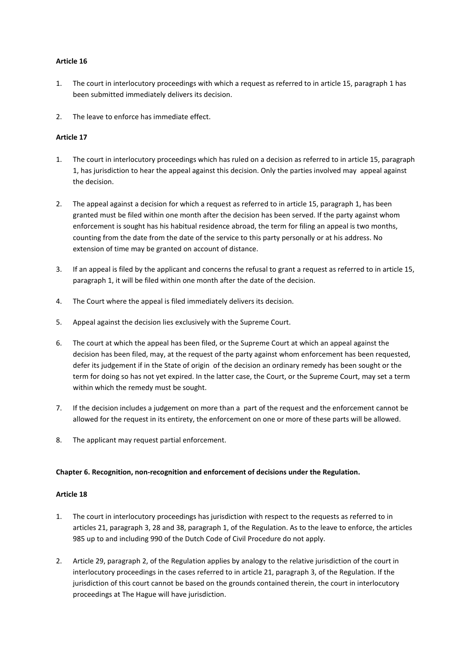#### **Article 16**

- 1. The court in interlocutory proceedings with which a request as referred to in article 15, paragraph 1 has been submitted immediately delivers its decision.
- 2. The leave to enforce has immediate effect.

#### **Article 17**

- 1. The court in interlocutory proceedings which has ruled on a decision as referred to in article 15, paragraph 1, has jurisdiction to hear the appeal against this decision. Only the parties involved may appeal against the decision.
- 2. The appeal against a decision for which a request as referred to in article 15, paragraph 1, has been granted must be filed within one month after the decision has been served. If the party against whom enforcement is sought has his habitual residence abroad, the term for filing an appeal is two months, counting from the date from the date of the service to this party personally or at his address. No extension of time may be granted on account of distance.
- 3. If an appeal is filed by the applicant and concerns the refusal to grant a request as referred to in article 15, paragraph 1, it will be filed within one month after the date of the decision.
- 4. The Court where the appeal is filed immediately delivers its decision.
- 5. Appeal against the decision lies exclusively with the Supreme Court.
- 6. The court at which the appeal has been filed, or the Supreme Court at which an appeal against the decision has been filed, may, at the request of the party against whom enforcement has been requested, defer its judgement if in the State of origin of the decision an ordinary remedy has been sought or the term for doing so has not yet expired. In the latter case, the Court, or the Supreme Court, may set a term within which the remedy must be sought.
- 7. If the decision includes a judgement on more than a part of the request and the enforcement cannot be allowed for the request in its entirety, the enforcement on one or more of these parts will be allowed.
- 8. The applicant may request partial enforcement.

#### **Chapter 6. Recognition, non-recognition and enforcement of decisions under the Regulation.**

- 1. The court in interlocutory proceedings has jurisdiction with respect to the requests as referred to in articles 21, paragraph 3, 28 and 38, paragraph 1, of the Regulation. As to the leave to enforce, the articles 985 up to and including 990 of the Dutch Code of Civil Procedure do not apply.
- 2. Article 29, paragraph 2, of the Regulation applies by analogy to the relative jurisdiction of the court in interlocutory proceedings in the cases referred to in article 21, paragraph 3, of the Regulation. If the jurisdiction of this court cannot be based on the grounds contained therein, the court in interlocutory proceedings at The Hague will have jurisdiction.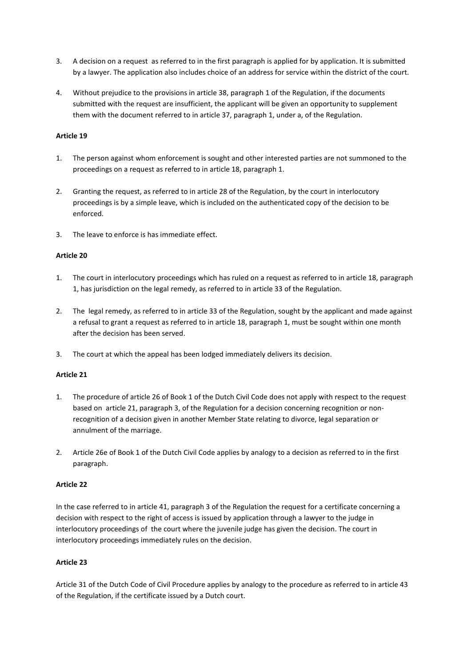- 3. A decision on a request as referred to in the first paragraph is applied for by application. It is submitted by a lawyer. The application also includes choice of an address for service within the district of the court.
- 4. Without prejudice to the provisions in article 38, paragraph 1 of the Regulation, if the documents submitted with the request are insufficient, the applicant will be given an opportunity to supplement them with the document referred to in article 37, paragraph 1, under a, of the Regulation.

#### **Article 19**

- 1. The person against whom enforcement is sought and other interested parties are not summoned to the proceedings on a request as referred to in article 18, paragraph 1.
- 2. Granting the request, as referred to in article 28 of the Regulation, by the court in interlocutory proceedings is by a simple leave, which is included on the authenticated copy of the decision to be enforced.
- 3. The leave to enforce is has immediate effect.

#### **Article 20**

- 1. The court in interlocutory proceedings which has ruled on a request as referred to in article 18, paragraph 1, has jurisdiction on the legal remedy, as referred to in article 33 of the Regulation.
- 2. The legal remedy, as referred to in article 33 of the Regulation, sought by the applicant and made against a refusal to grant a request as referred to in article 18, paragraph 1, must be sought within one month after the decision has been served.
- 3. The court at which the appeal has been lodged immediately delivers its decision.

#### **Article 21**

- 1. The procedure of article 26 of Book 1 of the Dutch Civil Code does not apply with respect to the request based on article 21, paragraph 3, of the Regulation for a decision concerning recognition or nonrecognition of a decision given in another Member State relating to divorce, legal separation or annulment of the marriage.
- 2. Article 26e of Book 1 of the Dutch Civil Code applies by analogy to a decision as referred to in the first paragraph.

#### **Article 22**

In the case referred to in article 41, paragraph 3 of the Regulation the request for a certificate concerning a decision with respect to the right of access is issued by application through a lawyer to the judge in interlocutory proceedings of the court where the juvenile judge has given the decision. The court in interlocutory proceedings immediately rules on the decision.

#### **Article 23**

Article 31 of the Dutch Code of Civil Procedure applies by analogy to the procedure as referred to in article 43 of the Regulation, if the certificate issued by a Dutch court.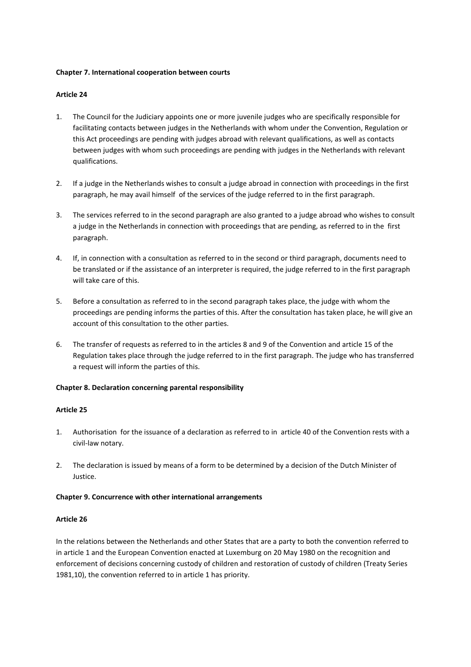#### **Chapter 7. International cooperation between courts**

#### **Article 24**

- 1. The Council for the Judiciary appoints one or more juvenile judges who are specifically responsible for facilitating contacts between judges in the Netherlands with whom under the Convention, Regulation or this Act proceedings are pending with judges abroad with relevant qualifications, as well as contacts between judges with whom such proceedings are pending with judges in the Netherlands with relevant qualifications.
- 2. If a judge in the Netherlands wishes to consult a judge abroad in connection with proceedings in the first paragraph, he may avail himself of the services of the judge referred to in the first paragraph.
- 3. The services referred to in the second paragraph are also granted to a judge abroad who wishes to consult a judge in the Netherlands in connection with proceedings that are pending, as referred to in the first paragraph.
- 4. If, in connection with a consultation as referred to in the second or third paragraph, documents need to be translated or if the assistance of an interpreter is required, the judge referred to in the first paragraph will take care of this.
- 5. Before a consultation as referred to in the second paragraph takes place, the judge with whom the proceedings are pending informs the parties of this. After the consultation has taken place, he will give an account of this consultation to the other parties.
- 6. The transfer of requests as referred to in the articles 8 and 9 of the Convention and article 15 of the Regulation takes place through the judge referred to in the first paragraph. The judge who has transferred a request will inform the parties of this.

#### **Chapter 8. Declaration concerning parental responsibility**

#### **Article 25**

- 1. Authorisation for the issuance of a declaration as referred to in article 40 of the Convention rests with a civil-law notary.
- 2. The declaration is issued by means of a form to be determined by a decision of the Dutch Minister of Justice.

#### **Chapter 9. Concurrence with other international arrangements**

#### **Article 26**

In the relations between the Netherlands and other States that are a party to both the convention referred to in article 1 and the European Convention enacted at Luxemburg on 20 May 1980 on the recognition and enforcement of decisions concerning custody of children and restoration of custody of children (Treaty Series 1981,10), the convention referred to in article 1 has priority.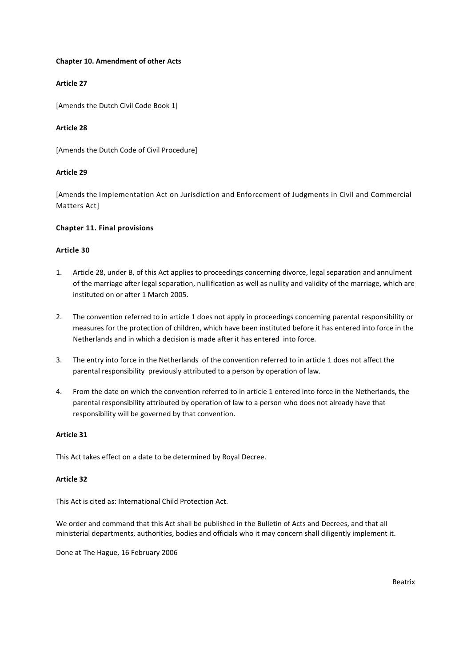#### **Chapter 10. Amendment of other Acts**

#### **Article 27**

[Amends the Dutch Civil Code Book 1]

#### **Article 28**

[Amends the Dutch Code of Civil Procedure]

#### **Article 29**

[Amends the Implementation Act on Jurisdiction and Enforcement of Judgments in Civil and Commercial Matters Act]

#### **Chapter 11. Final provisions**

#### **Article 30**

- 1. Article 28, under B, of this Act applies to proceedings concerning divorce, legal separation and annulment of the marriage after legal separation, nullification as well as nullity and validity of the marriage, which are instituted on or after 1 March 2005.
- 2. The convention referred to in article 1 does not apply in proceedings concerning parental responsibility or measures for the protection of children, which have been instituted before it has entered into force in the Netherlands and in which a decision is made after it has entered into force.
- 3. The entry into force in the Netherlands of the convention referred to in article 1 does not affect the parental responsibility previously attributed to a person by operation of law.
- 4. From the date on which the convention referred to in article 1 entered into force in the Netherlands, the parental responsibility attributed by operation of law to a person who does not already have that responsibility will be governed by that convention.

#### **Article 31**

This Act takes effect on a date to be determined by Royal Decree.

#### **Article 32**

This Act is cited as: International Child Protection Act.

We order and command that this Act shall be published in the Bulletin of Acts and Decrees, and that all ministerial departments, authorities, bodies and officials who it may concern shall diligently implement it.

Done at The Hague, 16 February 2006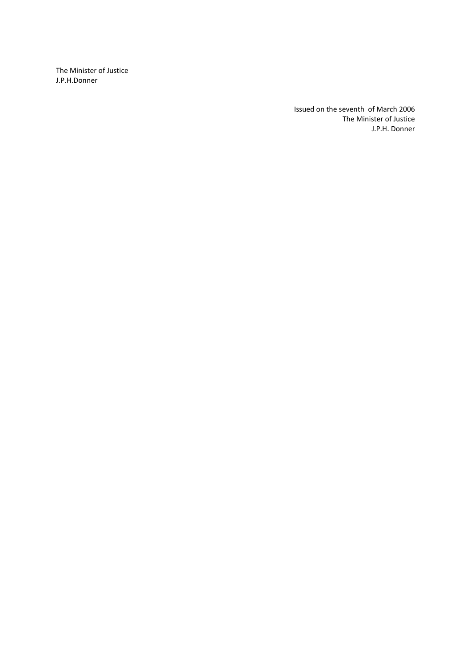The Minister of Justice J.P.H.Donner

> Issued on the seventh of March 2006 The Minister of Justice J.P.H. Donner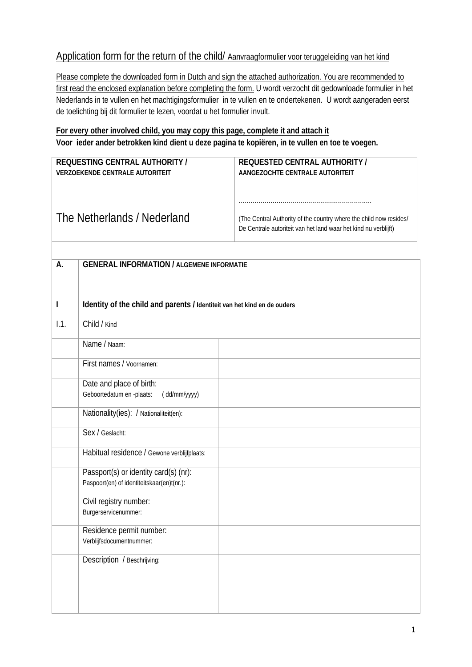# Application form for the return of the child/ Aanvraagformulier voor teruggeleiding van het kind

Please complete the downloaded form in Dutch and sign the attached authorization. You are recommended to first read the enclosed explanation before completing the form. U wordt verzocht dit gedownloade formulier in het Nederlands in te vullen en het machtigingsformulier in te vullen en te ondertekenen. U wordt aangeraden eerst de toelichting bij dit formulier te lezen, voordat u het formulier invult.

# **For every other involved child, you may copy this page, complete it and attach it Voor ieder ander betrokken kind dient u deze pagina te kopiëren, in te vullen en toe te voegen.**

| REQUESTING CENTRAL AUTHORITY /<br>VERZOEKENDE CENTRALE AUTORITEIT |                                                                                     | <b>REQUESTED CENTRAL AUTHORITY /</b><br>AANGEZOCHTE CENTRALE AUTORITEIT                                                               |
|-------------------------------------------------------------------|-------------------------------------------------------------------------------------|---------------------------------------------------------------------------------------------------------------------------------------|
| The Netherlands / Nederland                                       |                                                                                     | (The Central Authority of the country where the child now resides/<br>De Centrale autoriteit van het land waar het kind nu verblijft) |
| А.                                                                | <b>GENERAL INFORMATION / ALGEMENE INFORMATIE</b>                                    |                                                                                                                                       |
| $\mathbf{I}$                                                      |                                                                                     |                                                                                                                                       |
|                                                                   | Identity of the child and parents / Identiteit van het kind en de ouders            |                                                                                                                                       |
| 1.1.                                                              | Child / Kind                                                                        |                                                                                                                                       |
|                                                                   | Name / Naam:                                                                        |                                                                                                                                       |
|                                                                   | First names / Voornamen:                                                            |                                                                                                                                       |
|                                                                   | Date and place of birth:<br>Geboortedatum en -plaats:<br>(dd/mm/yyyy)               |                                                                                                                                       |
|                                                                   | Nationality(ies): / Nationaliteit(en):                                              |                                                                                                                                       |
|                                                                   | Sex / Geslacht:                                                                     |                                                                                                                                       |
|                                                                   | Habitual residence / Gewone verblijfplaats:                                         |                                                                                                                                       |
|                                                                   | Passport(s) or identity card(s) (nr):<br>Paspoort(en) of identiteitskaar(en)t(nr.): |                                                                                                                                       |
|                                                                   | Civil registry number:<br>Burgerservicenummer:                                      |                                                                                                                                       |
|                                                                   | Residence permit number:<br>Verblijfsdocumentnummer:                                |                                                                                                                                       |
|                                                                   | Description / Beschrijving:                                                         |                                                                                                                                       |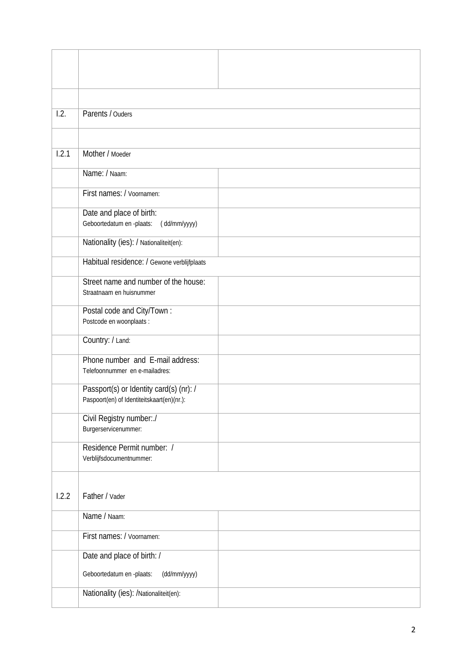| 1.2.  | Parents / Ouders                                                                      |
|-------|---------------------------------------------------------------------------------------|
|       |                                                                                       |
| 1.2.1 | Mother / Moeder                                                                       |
|       | Name: / Naam:                                                                         |
|       |                                                                                       |
|       | First names: / Voornamen:                                                             |
|       | Date and place of birth:<br>Geboortedatum en -plaats:<br>(dd/mm/yyyy)                 |
|       | Nationality (ies): / Nationaliteit(en):                                               |
|       |                                                                                       |
|       | Habitual residence: / Gewone verblijfplaats                                           |
|       | Street name and number of the house:<br>Straatnaam en huisnummer                      |
|       | Postal code and City/Town :<br>Postcode en woonplaats :                               |
|       | Country: / Land:                                                                      |
|       | Phone number and E-mail address:<br>Telefoonnummer en e-mailadres:                    |
|       | Passport(s) or Identity card(s) (nr): /<br>Paspoort(en) of Identiteitskaart(en)(nr.): |
|       | Civil Registry number:./<br>Burgerservicenummer:                                      |
|       | Residence Permit number: /<br>Verblijfsdocumentnummer:                                |
| 1.2.2 | Father / Vader                                                                        |
|       | Name / Naam:                                                                          |
|       |                                                                                       |
|       | First names: / Voornamen:                                                             |
|       | Date and place of birth: /                                                            |
|       | Geboortedatum en -plaats:<br>(dd/mm/yyyy)                                             |
|       | Nationality (ies): /Nationaliteit(en):                                                |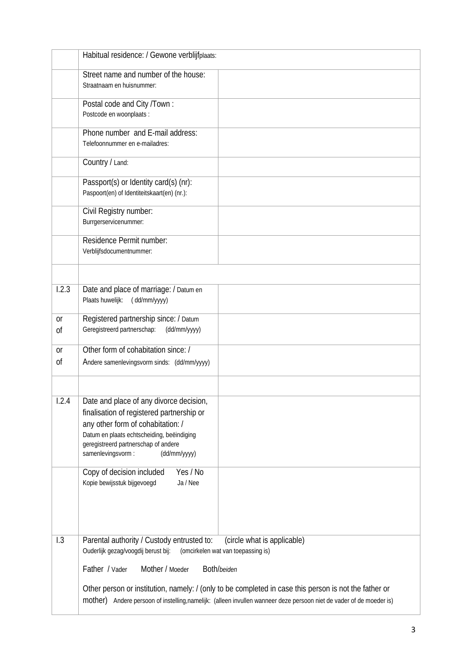|                 | Habitual residence: / Gewone verblijfplaats:                                                                                                                                                                                                          |  |
|-----------------|-------------------------------------------------------------------------------------------------------------------------------------------------------------------------------------------------------------------------------------------------------|--|
|                 | Street name and number of the house:<br>Straatnaam en huisnummer:                                                                                                                                                                                     |  |
|                 | Postal code and City /Town:<br>Postcode en woonplaats :                                                                                                                                                                                               |  |
|                 | Phone number and E-mail address:<br>Telefoonnummer en e-mailadres:                                                                                                                                                                                    |  |
|                 | Country / Land:                                                                                                                                                                                                                                       |  |
|                 | Passport(s) or Identity card(s) (nr):<br>Paspoort(en) of Identiteitskaart(en) (nr.):                                                                                                                                                                  |  |
|                 | Civil Registry number:<br>Burrgerservicenummer:                                                                                                                                                                                                       |  |
|                 | Residence Permit number:<br>Verblijfsdocumentnummer:                                                                                                                                                                                                  |  |
|                 |                                                                                                                                                                                                                                                       |  |
| 1.2.3           | Date and place of marriage: / Datum en<br>Plaats huwelijk:<br>(dd/mm/yyyy)                                                                                                                                                                            |  |
| <b>or</b><br>0f | Registered partnership since: / Datum<br>Geregistreerd partnerschap:<br>(dd/mm/yyyy)                                                                                                                                                                  |  |
| <b>or</b><br>0f | Other form of cohabitation since: /<br>Andere samenlevingsvorm sinds: (dd/mm/yyyy)                                                                                                                                                                    |  |
| 1.2.4           | Date and place of any divorce decision,<br>finalisation of registered partnership or<br>any other form of cohabitation: /<br>Datum en plaats echtscheiding, beëindiging<br>geregistreerd partnerschap of andere<br>samenlevingsvorm :<br>(dd/mm/yyyy) |  |
|                 | Copy of decision included<br>Yes / No<br>Kopie bewijsstuk bijgevoegd<br>Ja / Nee                                                                                                                                                                      |  |
| 1.3             | (circle what is applicable)<br>Parental authority / Custody entrusted to:<br>Ouderlijk gezag/voogdij berust bij: (omcirkelen wat van toepassing is)                                                                                                   |  |
|                 | Father / Vader<br>Both/beiden<br>Mother / Moeder                                                                                                                                                                                                      |  |
|                 | Other person or institution, namely: / (only to be completed in case this person is not the father or<br>mother) Andere persoon of instelling,namelijk: (alleen invullen wanneer deze persoon niet de vader of de moeder is)                          |  |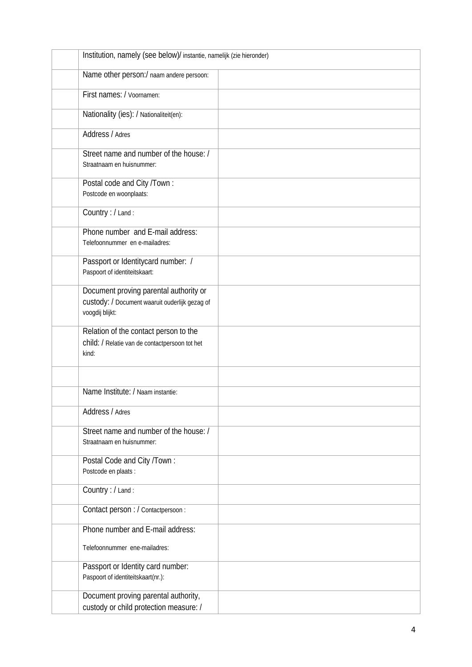| Institution, namely (see below)/ instantie, namelijk (zie hieronder)                                        |  |
|-------------------------------------------------------------------------------------------------------------|--|
| Name other person:/ naam andere persoon:                                                                    |  |
| First names: / Voornamen:                                                                                   |  |
| Nationality (ies): / Nationaliteit(en):                                                                     |  |
| Address / Adres                                                                                             |  |
| Street name and number of the house: /<br>Straatnaam en huisnummer:                                         |  |
| Postal code and City /Town:<br>Postcode en woonplaats:                                                      |  |
| Country : / Land :                                                                                          |  |
| Phone number and E-mail address:<br>Telefoonnummer en e-mailadres:                                          |  |
| Passport or Identitycard number: /<br>Paspoort of identiteitskaart:                                         |  |
| Document proving parental authority or<br>custody: / Document waaruit ouderlijk gezag of<br>voogdij blijkt: |  |
| Relation of the contact person to the<br>child: / Relatie van de contactpersoon tot het<br>kind:            |  |
|                                                                                                             |  |
| Name Institute: / Naam instantie:                                                                           |  |
| Address / Adres                                                                                             |  |
| Street name and number of the house: /<br>Straatnaam en huisnummer:                                         |  |
| Postal Code and City /Town:<br>Postcode en plaats :                                                         |  |
| Country : / Land :                                                                                          |  |
| Contact person : / Contactpersoon :                                                                         |  |
| Phone number and E-mail address:                                                                            |  |
| Telefoonnummer ene-mailadres:                                                                               |  |
| Passport or Identity card number:<br>Paspoort of identiteitskaart(nr.):                                     |  |
| Document proving parental authority,<br>custody or child protection measure: /                              |  |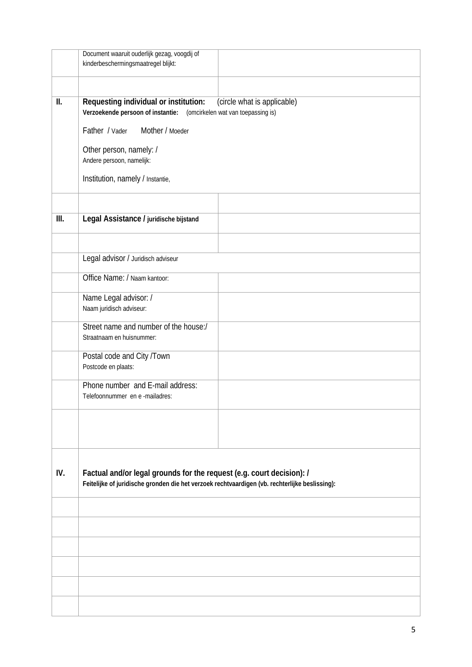|      | Document waaruit ouderlijk gezag, voogdij of<br>kinderbeschermingsmaatregel blijkt:                                                                                     |  |
|------|-------------------------------------------------------------------------------------------------------------------------------------------------------------------------|--|
|      |                                                                                                                                                                         |  |
| II.  | Requesting individual or institution:<br>(circle what is applicable)<br>Verzoekende persoon of instantie: (omcirkelen wat van toepassing is)                            |  |
|      | Father / Vader<br>Mother / Moeder                                                                                                                                       |  |
|      | Other person, namely: /<br>Andere persoon, namelijk:                                                                                                                    |  |
|      | Institution, namely / Instantie,                                                                                                                                        |  |
|      |                                                                                                                                                                         |  |
| III. | Legal Assistance / juridische bijstand                                                                                                                                  |  |
|      |                                                                                                                                                                         |  |
|      | Legal advisor / Juridisch adviseur                                                                                                                                      |  |
|      | Office Name: / Naam kantoor:                                                                                                                                            |  |
|      | Name Legal advisor: /<br>Naam juridisch adviseur:                                                                                                                       |  |
|      | Street name and number of the house:/<br>Straatnaam en huisnummer:                                                                                                      |  |
|      | Postal code and City /Town<br>Postcode en plaats:                                                                                                                       |  |
|      | Phone number and E-mail address:<br>Telefoonnummer en e-mailadres:                                                                                                      |  |
|      |                                                                                                                                                                         |  |
|      |                                                                                                                                                                         |  |
| IV.  | Factual and/or legal grounds for the request (e.g. court decision): /<br>Feitelijke of juridische gronden die het verzoek rechtvaardigen (vb. rechterlijke beslissing): |  |
|      |                                                                                                                                                                         |  |
|      |                                                                                                                                                                         |  |
|      |                                                                                                                                                                         |  |
|      |                                                                                                                                                                         |  |
|      |                                                                                                                                                                         |  |
|      |                                                                                                                                                                         |  |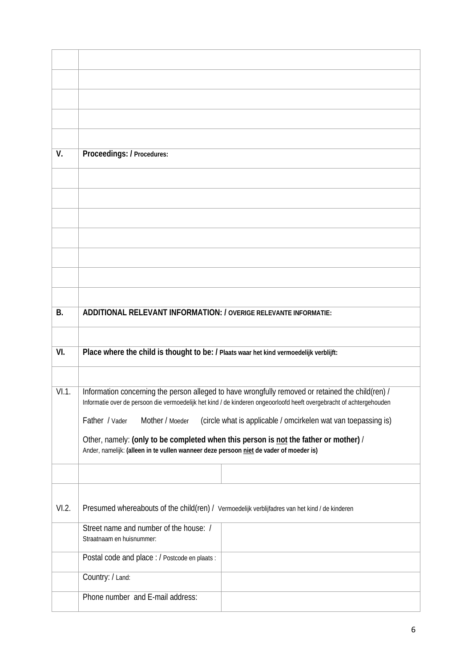| V.        | Proceedings: / Procedures:                                                                                           |  |
|-----------|----------------------------------------------------------------------------------------------------------------------|--|
|           |                                                                                                                      |  |
|           |                                                                                                                      |  |
|           |                                                                                                                      |  |
|           |                                                                                                                      |  |
|           |                                                                                                                      |  |
|           |                                                                                                                      |  |
|           |                                                                                                                      |  |
|           |                                                                                                                      |  |
| <b>B.</b> | ADDITIONAL RELEVANT INFORMATION: / OVERIGE RELEVANTE INFORMATIE:                                                     |  |
|           |                                                                                                                      |  |
| VI.       | Place where the child is thought to be: / Plaats waar het kind vermoedelijk verblijft:                               |  |
|           |                                                                                                                      |  |
| VI.1.     | Information concerning the person alleged to have wrongfully removed or retained the child(ren) /                    |  |
|           | Informatie over de persoon die vermoedelijk het kind / de kinderen ongeoorloofd heeft overgebracht of achtergehouden |  |
|           | (circle what is applicable / omcirkelen wat van toepassing is)<br>Father / Vader<br>Mother / Moeder                  |  |
|           | Other, namely: (only to be completed when this person is not the father or mother) /                                 |  |
|           | Ander, namelijk: (alleen in te vullen wanneer deze persoon niet de vader of moeder is)                               |  |
|           |                                                                                                                      |  |
|           |                                                                                                                      |  |
| VI.2.     | Presumed whereabouts of the child(ren) / Vermoedelijk verblijfadres van het kind / de kinderen                       |  |
|           | Street name and number of the house: /<br>Straatnaam en huisnummer:                                                  |  |
|           | Postal code and place : / Postcode en plaats :                                                                       |  |
|           | Country: / Land:                                                                                                     |  |
|           | Phone number and E-mail address:                                                                                     |  |
|           |                                                                                                                      |  |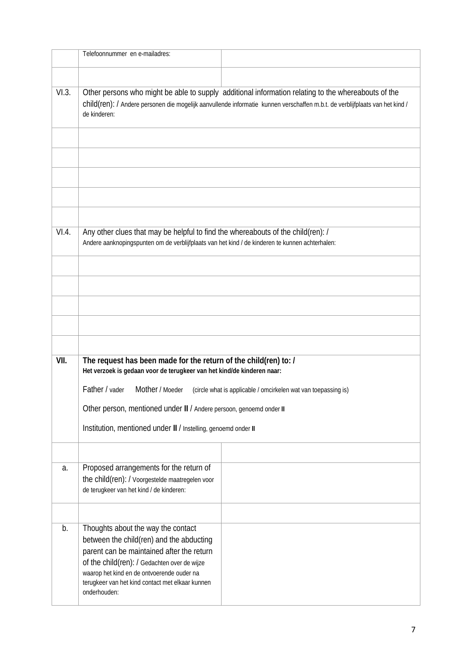|                                                                                                                                                                                                                                                              | Telefoonnummer en e-mailadres:                                                                                                                                                                                                                                                                |  |  |
|--------------------------------------------------------------------------------------------------------------------------------------------------------------------------------------------------------------------------------------------------------------|-----------------------------------------------------------------------------------------------------------------------------------------------------------------------------------------------------------------------------------------------------------------------------------------------|--|--|
|                                                                                                                                                                                                                                                              |                                                                                                                                                                                                                                                                                               |  |  |
|                                                                                                                                                                                                                                                              |                                                                                                                                                                                                                                                                                               |  |  |
| VI.3.<br>Other persons who might be able to supply additional information relating to the whereabouts of the<br>child(ren): / Andere personen die mogelijk aanvullende informatie kunnen verschaffen m.b.t. de verblijfplaats van het kind /<br>de kinderen: |                                                                                                                                                                                                                                                                                               |  |  |
|                                                                                                                                                                                                                                                              |                                                                                                                                                                                                                                                                                               |  |  |
| VI.4.                                                                                                                                                                                                                                                        | Any other clues that may be helpful to find the whereabouts of the child(ren): /<br>Andere aanknopingspunten om de verblijfplaats van het kind / de kinderen te kunnen achterhalen:                                                                                                           |  |  |
|                                                                                                                                                                                                                                                              |                                                                                                                                                                                                                                                                                               |  |  |
|                                                                                                                                                                                                                                                              |                                                                                                                                                                                                                                                                                               |  |  |
| VII.                                                                                                                                                                                                                                                         | The request has been made for the return of the child(ren) to: /<br>Het verzoek is gedaan voor de terugkeer van het kind/de kinderen naar:                                                                                                                                                    |  |  |
|                                                                                                                                                                                                                                                              | Father / vader<br>Mother / Moeder<br>(circle what is applicable / omcirkelen wat van toepassing is)<br>Other person, mentioned under II / Andere persoon, genoemd onder II                                                                                                                    |  |  |
|                                                                                                                                                                                                                                                              |                                                                                                                                                                                                                                                                                               |  |  |
|                                                                                                                                                                                                                                                              | Institution, mentioned under II / Instelling, genoemd onder II                                                                                                                                                                                                                                |  |  |
|                                                                                                                                                                                                                                                              |                                                                                                                                                                                                                                                                                               |  |  |
| a.                                                                                                                                                                                                                                                           | Proposed arrangements for the return of<br>the child(ren): / Voorgestelde maatregelen voor<br>de terugkeer van het kind / de kinderen:                                                                                                                                                        |  |  |
|                                                                                                                                                                                                                                                              |                                                                                                                                                                                                                                                                                               |  |  |
| b.                                                                                                                                                                                                                                                           | Thoughts about the way the contact<br>between the child(ren) and the abducting<br>parent can be maintained after the return<br>of the child(ren): / Gedachten over de wijze<br>waarop het kind en de ontvoerende ouder na<br>terugkeer van het kind contact met elkaar kunnen<br>onderhouden: |  |  |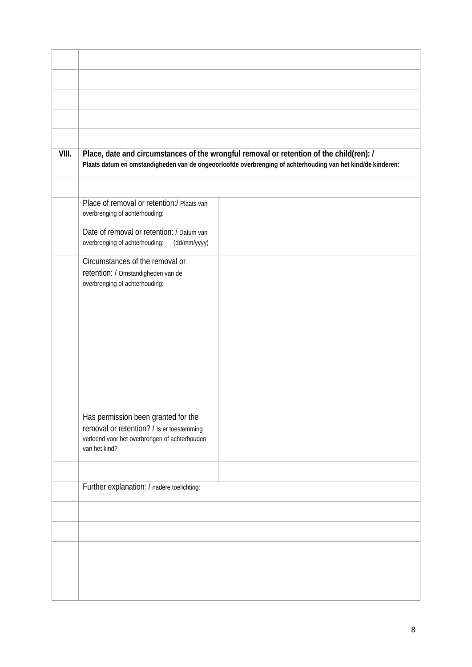| VIII. | Place, date and circumstances of the wrongful removal or retention of the child(ren): /<br>Plaats datum en omstandigheden van de ongeoorloofde overbrenging of achterhouding van het kind/de kinderen: |  |
|-------|--------------------------------------------------------------------------------------------------------------------------------------------------------------------------------------------------------|--|
|       | Place of removal or retention:/ Plaats van                                                                                                                                                             |  |
|       | overbrenging of achterhouding:                                                                                                                                                                         |  |
|       | Date of removal or retention: / Datum van<br>overbrenging of achterhouding:<br>(dd/mm/yyyy)                                                                                                            |  |
|       | Circumstances of the removal or<br>retention: / Omstandigheden van de<br>overbrenging of achterhouding:                                                                                                |  |
|       | Has permission been granted for the<br>removal or retention? / Is er toestemming<br>verleend voor het overbrengen of achterhouden<br>van het kind?                                                     |  |
|       | Further explanation: / nadere toelichting:                                                                                                                                                             |  |
|       |                                                                                                                                                                                                        |  |
|       |                                                                                                                                                                                                        |  |
|       |                                                                                                                                                                                                        |  |
|       |                                                                                                                                                                                                        |  |
|       |                                                                                                                                                                                                        |  |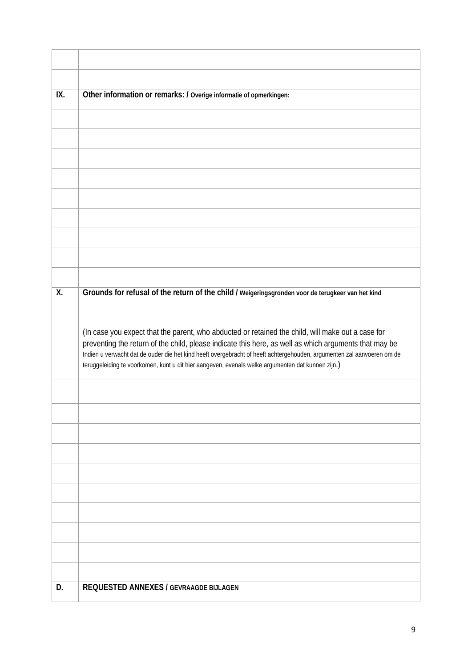| IX.              | Other information or remarks: / Overige informatie of opmerkingen:                                                                                                                                                                                                                                                                                                                                                                        |
|------------------|-------------------------------------------------------------------------------------------------------------------------------------------------------------------------------------------------------------------------------------------------------------------------------------------------------------------------------------------------------------------------------------------------------------------------------------------|
|                  |                                                                                                                                                                                                                                                                                                                                                                                                                                           |
|                  |                                                                                                                                                                                                                                                                                                                                                                                                                                           |
|                  |                                                                                                                                                                                                                                                                                                                                                                                                                                           |
|                  |                                                                                                                                                                                                                                                                                                                                                                                                                                           |
|                  |                                                                                                                                                                                                                                                                                                                                                                                                                                           |
|                  |                                                                                                                                                                                                                                                                                                                                                                                                                                           |
|                  |                                                                                                                                                                                                                                                                                                                                                                                                                                           |
|                  |                                                                                                                                                                                                                                                                                                                                                                                                                                           |
|                  |                                                                                                                                                                                                                                                                                                                                                                                                                                           |
| $\overline{X}$ . | Grounds for refusal of the return of the child / weigeringsgronden voor de terugkeer van het kind                                                                                                                                                                                                                                                                                                                                         |
|                  |                                                                                                                                                                                                                                                                                                                                                                                                                                           |
|                  |                                                                                                                                                                                                                                                                                                                                                                                                                                           |
|                  | (In case you expect that the parent, who abducted or retained the child, will make out a case for<br>preventing the return of the child, please indicate this here, as well as which arguments that may be<br>Indien u verwacht dat de ouder die het kind heeft overgebracht of heeft achtergehouden, argumenten zal aanvoeren om de<br>teruggeleiding te voorkomen, kunt u dit hier aangeven, evenals welke argumenten dat kunnen zijn.) |
|                  |                                                                                                                                                                                                                                                                                                                                                                                                                                           |
|                  |                                                                                                                                                                                                                                                                                                                                                                                                                                           |
|                  |                                                                                                                                                                                                                                                                                                                                                                                                                                           |
|                  |                                                                                                                                                                                                                                                                                                                                                                                                                                           |
|                  |                                                                                                                                                                                                                                                                                                                                                                                                                                           |
|                  |                                                                                                                                                                                                                                                                                                                                                                                                                                           |
|                  |                                                                                                                                                                                                                                                                                                                                                                                                                                           |
|                  |                                                                                                                                                                                                                                                                                                                                                                                                                                           |
|                  |                                                                                                                                                                                                                                                                                                                                                                                                                                           |
|                  |                                                                                                                                                                                                                                                                                                                                                                                                                                           |
|                  |                                                                                                                                                                                                                                                                                                                                                                                                                                           |
| D.               | REQUESTED ANNEXES / GEVRAAGDE BIJLAGEN                                                                                                                                                                                                                                                                                                                                                                                                    |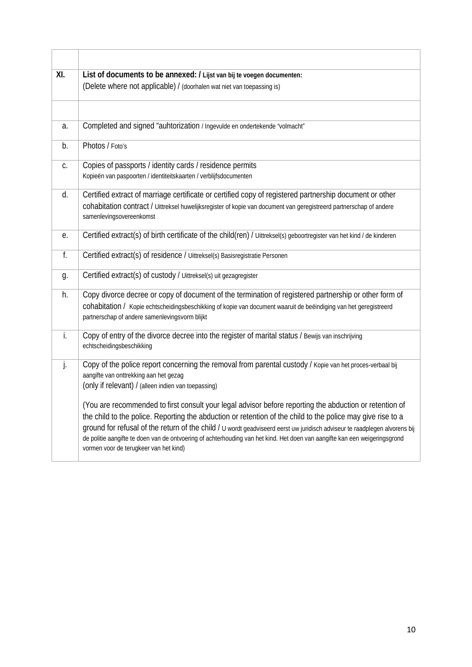| XI. | List of documents to be annexed: / Lijst van bij te voegen documenten:                                                                                                                                                                                                                                                                                                                                                                                                                                                       |  |
|-----|------------------------------------------------------------------------------------------------------------------------------------------------------------------------------------------------------------------------------------------------------------------------------------------------------------------------------------------------------------------------------------------------------------------------------------------------------------------------------------------------------------------------------|--|
|     | (Delete where not applicable) / (doorhalen wat niet van toepassing is)                                                                                                                                                                                                                                                                                                                                                                                                                                                       |  |
|     |                                                                                                                                                                                                                                                                                                                                                                                                                                                                                                                              |  |
| a.  | Completed and signed "auhtorization / Ingevulde en ondertekende "volmacht"                                                                                                                                                                                                                                                                                                                                                                                                                                                   |  |
| b.  | Photos / Foto's                                                                                                                                                                                                                                                                                                                                                                                                                                                                                                              |  |
| C.  | Copies of passports / identity cards / residence permits<br>Kopieën van paspoorten / identiteitskaarten / verblijfsdocumenten                                                                                                                                                                                                                                                                                                                                                                                                |  |
| d.  | Certified extract of marriage certificate or certified copy of registered partnership document or other                                                                                                                                                                                                                                                                                                                                                                                                                      |  |
|     | cohabitation contract / Uittreksel huwelijksregister of kopie van document van geregistreerd partnerschap of andere<br>samenlevingsovereenkomst                                                                                                                                                                                                                                                                                                                                                                              |  |
| е.  | Certified extract(s) of birth certificate of the child(ren) / Uittreksel(s) geboortregister van het kind / de kinderen                                                                                                                                                                                                                                                                                                                                                                                                       |  |
| f.  | Certified extract(s) of residence / Uittreksel(s) Basisregistratie Personen                                                                                                                                                                                                                                                                                                                                                                                                                                                  |  |
| g.  | Certified extract(s) of custody / Uittreksel(s) uit gezagregister                                                                                                                                                                                                                                                                                                                                                                                                                                                            |  |
| h.  | Copy divorce decree or copy of document of the termination of registered partnership or other form of<br>cohabitation / Kopie echtscheidingsbeschikking of kopie van document waaruit de beëindiging van het geregistreerd<br>partnerschap of andere samenlevingsvorm blijkt                                                                                                                                                                                                                                                 |  |
| j.  | Copy of entry of the divorce decree into the register of marital status / Bewijs van inschrijving<br>echtscheidingsbeschikking                                                                                                                                                                                                                                                                                                                                                                                               |  |
| j.  | Copy of the police report concerning the removal from parental custody / Kopie van het proces-verbaal bij<br>aangifte van onttrekking aan het gezag<br>(only if relevant) / (alleen indien van toepassing)                                                                                                                                                                                                                                                                                                                   |  |
|     | (You are recommended to first consult your legal advisor before reporting the abduction or retention of<br>the child to the police. Reporting the abduction or retention of the child to the police may give rise to a<br>ground for refusal of the return of the child / U wordt geadviseerd eerst uw juridisch adviseur te raadplegen alvorens bij<br>de politie aangifte te doen van de ontvoering of achterhouding van het kind. Het doen van aangifte kan een weigeringsgrond<br>vormen voor de terugkeer van het kind) |  |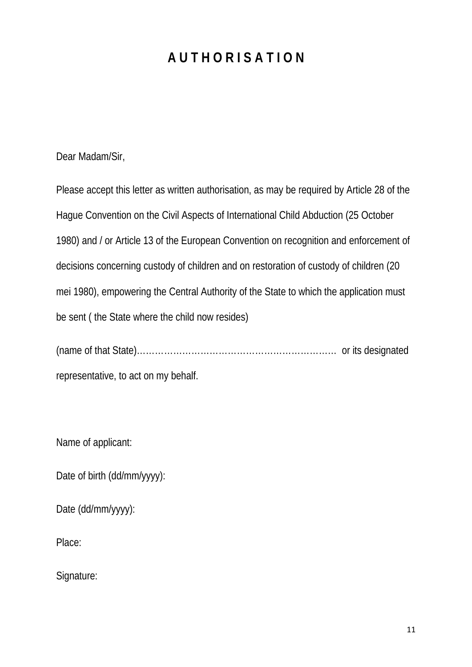# **A U T H O R I S A T I O N**

Dear Madam/Sir,

Please accept this letter as written authorisation, as may be required by Article 28 of the Hague Convention on the Civil Aspects of International Child Abduction (25 October 1980) and / or Article 13 of the European Convention on recognition and enforcement of decisions concerning custody of children and on restoration of custody of children (20 mei 1980), empowering the Central Authority of the State to which the application must be sent ( the State where the child now resides)

(name of that State)………………………………………………………… or its designated representative, to act on my behalf.

Name of applicant:

Date of birth (dd/mm/yyyy):

Date (dd/mm/yyyy):

Place:

Signature: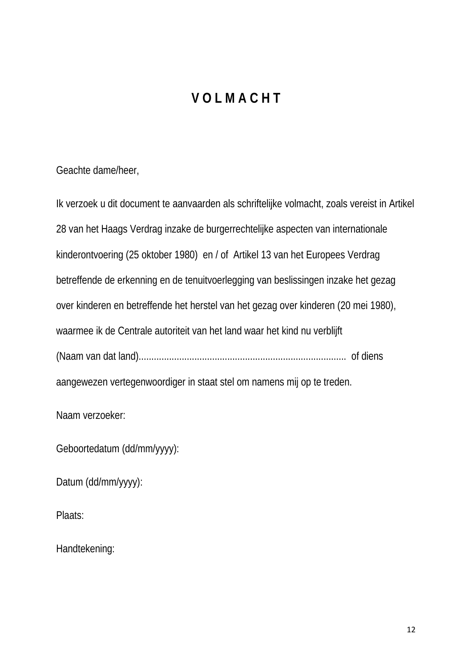# **V O L M A C H T**

Geachte dame/heer,

Ik verzoek u dit document te aanvaarden als schriftelijke volmacht, zoals vereist in Artikel 28 van het Haags Verdrag inzake de burgerrechtelijke aspecten van internationale kinderontvoering (25 oktober 1980) en / of Artikel 13 van het Europees Verdrag betreffende de erkenning en de tenuitvoerlegging van beslissingen inzake het gezag over kinderen en betreffende het herstel van het gezag over kinderen (20 mei 1980), waarmee ik de Centrale autoriteit van het land waar het kind nu verblijft (Naam van dat land).................................................................................. of diens aangewezen vertegenwoordiger in staat stel om namens mij op te treden.

Naam verzoeker:

Geboortedatum (dd/mm/yyyy):

Datum (dd/mm/yyyy):

Plaats:

Handtekening: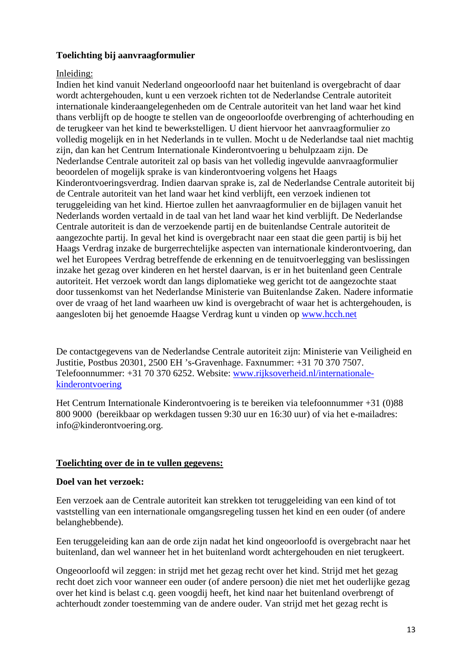# **Toelichting bij aanvraagformulier**

### Inleiding:

Indien het kind vanuit Nederland ongeoorloofd naar het buitenland is overgebracht of daar wordt achtergehouden, kunt u een verzoek richten tot de Nederlandse Centrale autoriteit internationale kinderaangelegenheden om de Centrale autoriteit van het land waar het kind thans verblijft op de hoogte te stellen van de ongeoorloofde overbrenging of achterhouding en de terugkeer van het kind te bewerkstelligen. U dient hiervoor het aanvraagformulier zo volledig mogelijk en in het Nederlands in te vullen. Mocht u de Nederlandse taal niet machtig zijn, dan kan het Centrum Internationale Kinderontvoering u behulpzaam zijn. De Nederlandse Centrale autoriteit zal op basis van het volledig ingevulde aanvraagformulier beoordelen of mogelijk sprake is van kinderontvoering volgens het Haags Kinderontvoeringsverdrag. Indien daarvan sprake is, zal de Nederlandse Centrale autoriteit bij de Centrale autoriteit van het land waar het kind verblijft, een verzoek indienen tot teruggeleiding van het kind. Hiertoe zullen het aanvraagformulier en de bijlagen vanuit het Nederlands worden vertaald in de taal van het land waar het kind verblijft. De Nederlandse Centrale autoriteit is dan de verzoekende partij en de buitenlandse Centrale autoriteit de aangezochte partij. In geval het kind is overgebracht naar een staat die geen partij is bij het Haags Verdrag inzake de burgerrechtelijke aspecten van internationale kinderontvoering, dan wel het Europees Verdrag betreffende de erkenning en de tenuitvoerlegging van beslissingen inzake het gezag over kinderen en het herstel daarvan, is er in het buitenland geen Centrale autoriteit. Het verzoek wordt dan langs diplomatieke weg gericht tot de aangezochte staat door tussenkomst van het Nederlandse Ministerie van Buitenlandse Zaken. Nadere informatie over de vraag of het land waarheen uw kind is overgebracht of waar het is achtergehouden, is aangesloten bij het genoemde Haagse Verdrag kunt u vinden op [www.hcch.net](http://www.hcch.net/)

De contactgegevens van de Nederlandse Centrale autoriteit zijn: Ministerie van Veiligheid en Justitie, Postbus 20301, 2500 EH 's-Gravenhage. Faxnummer: +31 70 370 7507. Telefoonnummer: +31 70 370 6252. Website: [www.rijksoverheid.nl/internationale](http://www.rijksoverheid.nl/internationale-kinderontvoering)[kinderontvoering](http://www.rijksoverheid.nl/internationale-kinderontvoering)

Het Centrum Internationale Kinderontvoering is te bereiken via telefoonnummer +31 (0)88 800 9000 (bereikbaar op werkdagen tussen 9:30 uur en 16:30 uur) of via het e-mailadres: info@kinderontvoering.org.

# **Toelichting over de in te vullen gegevens:**

#### **Doel van het verzoek:**

Een verzoek aan de Centrale autoriteit kan strekken tot teruggeleiding van een kind of tot vaststelling van een internationale omgangsregeling tussen het kind en een ouder (of andere belanghebbende).

Een teruggeleiding kan aan de orde zijn nadat het kind ongeoorloofd is overgebracht naar het buitenland, dan wel wanneer het in het buitenland wordt achtergehouden en niet terugkeert.

Ongeoorloofd wil zeggen: in strijd met het gezag recht over het kind. Strijd met het gezag recht doet zich voor wanneer een ouder (of andere persoon) die niet met het ouderlijke gezag over het kind is belast c.q. geen voogdij heeft, het kind naar het buitenland overbrengt of achterhoudt zonder toestemming van de andere ouder. Van strijd met het gezag recht is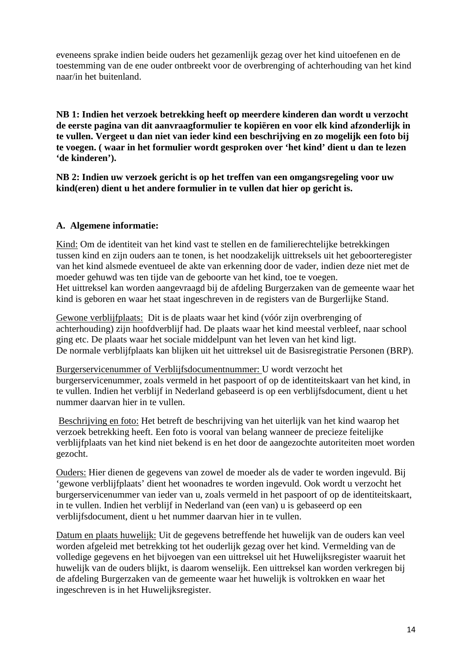eveneens sprake indien beide ouders het gezamenlijk gezag over het kind uitoefenen en de toestemming van de ene ouder ontbreekt voor de overbrenging of achterhouding van het kind naar/in het buitenland.

**NB 1: Indien het verzoek betrekking heeft op meerdere kinderen dan wordt u verzocht de eerste pagina van dit aanvraagformulier te kopiëren en voor elk kind afzonderlijk in te vullen. Vergeet u dan niet van ieder kind een beschrijving en zo mogelijk een foto bij te voegen. ( waar in het formulier wordt gesproken over 'het kind' dient u dan te lezen 'de kinderen').** 

**NB 2: Indien uw verzoek gericht is op het treffen van een omgangsregeling voor uw kind(eren) dient u het andere formulier in te vullen dat hier op gericht is.** 

# **A. Algemene informatie:**

Kind: Om de identiteit van het kind vast te stellen en de familierechtelijke betrekkingen tussen kind en zijn ouders aan te tonen, is het noodzakelijk uittreksels uit het geboorteregister van het kind alsmede eventueel de akte van erkenning door de vader, indien deze niet met de moeder gehuwd was ten tijde van de geboorte van het kind, toe te voegen. Het uittreksel kan worden aangevraagd bij de afdeling Burgerzaken van de gemeente waar het kind is geboren en waar het staat ingeschreven in de registers van de Burgerlijke Stand.

Gewone verblijfplaats: Dit is de plaats waar het kind (vóór zijn overbrenging of achterhouding) zijn hoofdverblijf had. De plaats waar het kind meestal verbleef, naar school ging etc. De plaats waar het sociale middelpunt van het leven van het kind ligt. De normale verblijfplaats kan blijken uit het uittreksel uit de Basisregistratie Personen (BRP).

Burgerservicenummer of Verblijfsdocumentnummer: U wordt verzocht het burgerservicenummer, zoals vermeld in het paspoort of op de identiteitskaart van het kind, in te vullen. Indien het verblijf in Nederland gebaseerd is op een verblijfsdocument, dient u het nummer daarvan hier in te vullen.

Beschrijving en foto: Het betreft de beschrijving van het uiterlijk van het kind waarop het verzoek betrekking heeft. Een foto is vooral van belang wanneer de precieze feitelijke verblijfplaats van het kind niet bekend is en het door de aangezochte autoriteiten moet worden gezocht.

Ouders: Hier dienen de gegevens van zowel de moeder als de vader te worden ingevuld. Bij 'gewone verblijfplaats' dient het woonadres te worden ingevuld. Ook wordt u verzocht het burgerservicenummer van ieder van u, zoals vermeld in het paspoort of op de identiteitskaart, in te vullen. Indien het verblijf in Nederland van (een van) u is gebaseerd op een verblijfsdocument, dient u het nummer daarvan hier in te vullen.

Datum en plaats huwelijk: Uit de gegevens betreffende het huwelijk van de ouders kan veel worden afgeleid met betrekking tot het ouderlijk gezag over het kind. Vermelding van de volledige gegevens en het bijvoegen van een uittreksel uit het Huwelijksregister waaruit het huwelijk van de ouders blijkt, is daarom wenselijk. Een uittreksel kan worden verkregen bij de afdeling Burgerzaken van de gemeente waar het huwelijk is voltrokken en waar het ingeschreven is in het Huwelijksregister.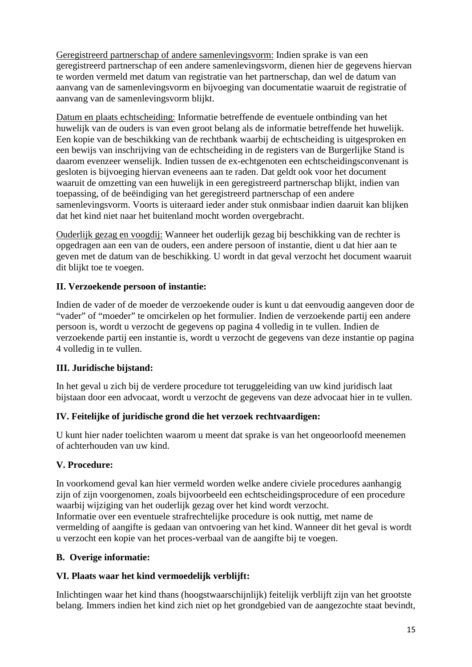Geregistreerd partnerschap of andere samenlevingsvorm: Indien sprake is van een geregistreerd partnerschap of een andere samenlevingsvorm, dienen hier de gegevens hiervan te worden vermeld met datum van registratie van het partnerschap, dan wel de datum van aanvang van de samenlevingsvorm en bijvoeging van documentatie waaruit de registratie of aanvang van de samenlevingsvorm blijkt.

Datum en plaats echtscheiding: Informatie betreffende de eventuele ontbinding van het huwelijk van de ouders is van even groot belang als de informatie betreffende het huwelijk. Een kopie van de beschikking van de rechtbank waarbij de echtscheiding is uitgesproken en een bewijs van inschrijving van de echtscheiding in de registers van de Burgerlijke Stand is daarom evenzeer wenselijk. Indien tussen de ex-echtgenoten een echtscheidingsconvenant is gesloten is bijvoeging hiervan eveneens aan te raden. Dat geldt ook voor het document waaruit de omzetting van een huwelijk in een geregistreerd partnerschap blijkt, indien van toepassing, of de beëindiging van het geregistreerd partnerschap of een andere samenlevingsvorm. Voorts is uiteraard ieder ander stuk onmisbaar indien daaruit kan blijken dat het kind niet naar het buitenland mocht worden overgebracht.

Ouderlijk gezag en voogdij: Wanneer het ouderlijk gezag bij beschikking van de rechter is opgedragen aan een van de ouders, een andere persoon of instantie, dient u dat hier aan te geven met de datum van de beschikking. U wordt in dat geval verzocht het document waaruit dit blijkt toe te voegen.

# **II. Verzoekende persoon of instantie:**

Indien de vader of de moeder de verzoekende ouder is kunt u dat eenvoudig aangeven door de "vader" of "moeder" te omcirkelen op het formulier. Indien de verzoekende partij een andere persoon is, wordt u verzocht de gegevens op pagina 4 volledig in te vullen. Indien de verzoekende partij een instantie is, wordt u verzocht de gegevens van deze instantie op pagina 4 volledig in te vullen.

# **III. Juridische bijstand:**

In het geval u zich bij de verdere procedure tot teruggeleiding van uw kind juridisch laat bijstaan door een advocaat, wordt u verzocht de gegevens van deze advocaat hier in te vullen.

# **IV. Feitelijke of juridische grond die het verzoek rechtvaardigen:**

U kunt hier nader toelichten waarom u meent dat sprake is van het ongeoorloofd meenemen of achterhouden van uw kind.

# **V. Procedure:**

In voorkomend geval kan hier vermeld worden welke andere civiele procedures aanhangig zijn of zijn voorgenomen, zoals bijvoorbeeld een echtscheidingsprocedure of een procedure waarbij wijziging van het ouderlijk gezag over het kind wordt verzocht. Informatie over een eventuele strafrechtelijke procedure is ook nuttig, met name de vermelding of aangifte is gedaan van ontvoering van het kind. Wanneer dit het geval is wordt u verzocht een kopie van het proces-verbaal van de aangifte bij te voegen.

# **B. Overige informatie:**

# **VI. Plaats waar het kind vermoedelijk verblijft:**

Inlichtingen waar het kind thans (hoogstwaarschijnlijk) feitelijk verblijft zijn van het grootste belang. Immers indien het kind zich niet op het grondgebied van de aangezochte staat bevindt,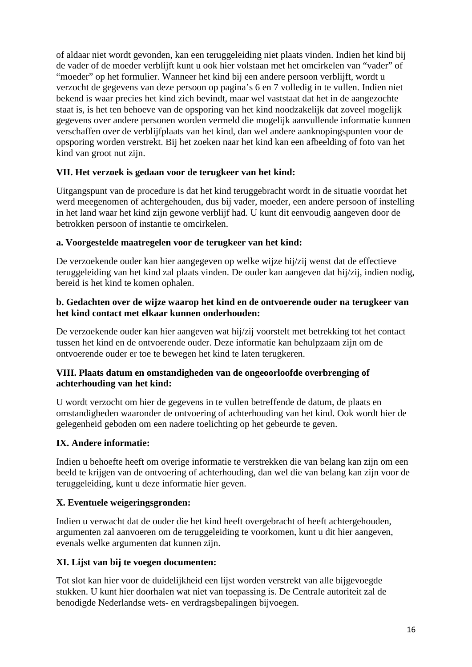of aldaar niet wordt gevonden, kan een teruggeleiding niet plaats vinden. Indien het kind bij de vader of de moeder verblijft kunt u ook hier volstaan met het omcirkelen van "vader" of "moeder" op het formulier. Wanneer het kind bij een andere persoon verblijft, wordt u verzocht de gegevens van deze persoon op pagina's 6 en 7 volledig in te vullen. Indien niet bekend is waar precies het kind zich bevindt, maar wel vaststaat dat het in de aangezochte staat is, is het ten behoeve van de opsporing van het kind noodzakelijk dat zoveel mogelijk gegevens over andere personen worden vermeld die mogelijk aanvullende informatie kunnen verschaffen over de verblijfplaats van het kind, dan wel andere aanknopingspunten voor de opsporing worden verstrekt. Bij het zoeken naar het kind kan een afbeelding of foto van het kind van groot nut zijn.

# **VII. Het verzoek is gedaan voor de terugkeer van het kind:**

Uitgangspunt van de procedure is dat het kind teruggebracht wordt in de situatie voordat het werd meegenomen of achtergehouden, dus bij vader, moeder, een andere persoon of instelling in het land waar het kind zijn gewone verblijf had. U kunt dit eenvoudig aangeven door de betrokken persoon of instantie te omcirkelen.

# **a. Voorgestelde maatregelen voor de terugkeer van het kind:**

De verzoekende ouder kan hier aangegeven op welke wijze hij/zij wenst dat de effectieve teruggeleiding van het kind zal plaats vinden. De ouder kan aangeven dat hij/zij, indien nodig, bereid is het kind te komen ophalen.

# **b. Gedachten over de wijze waarop het kind en de ontvoerende ouder na terugkeer van het kind contact met elkaar kunnen onderhouden:**

De verzoekende ouder kan hier aangeven wat hij/zij voorstelt met betrekking tot het contact tussen het kind en de ontvoerende ouder. Deze informatie kan behulpzaam zijn om de ontvoerende ouder er toe te bewegen het kind te laten terugkeren.

# **VIII. Plaats datum en omstandigheden van de ongeoorloofde overbrenging of achterhouding van het kind:**

U wordt verzocht om hier de gegevens in te vullen betreffende de datum, de plaats en omstandigheden waaronder de ontvoering of achterhouding van het kind. Ook wordt hier de gelegenheid geboden om een nadere toelichting op het gebeurde te geven.

# **IX. Andere informatie:**

Indien u behoefte heeft om overige informatie te verstrekken die van belang kan zijn om een beeld te krijgen van de ontvoering of achterhouding, dan wel die van belang kan zijn voor de teruggeleiding, kunt u deze informatie hier geven.

# **X. Eventuele weigeringsgronden:**

Indien u verwacht dat de ouder die het kind heeft overgebracht of heeft achtergehouden, argumenten zal aanvoeren om de teruggeleiding te voorkomen, kunt u dit hier aangeven, evenals welke argumenten dat kunnen zijn.

# **XI. Lijst van bij te voegen documenten:**

Tot slot kan hier voor de duidelijkheid een lijst worden verstrekt van alle bijgevoegde stukken. U kunt hier doorhalen wat niet van toepassing is. De Centrale autoriteit zal de benodigde Nederlandse wets- en verdragsbepalingen bijvoegen.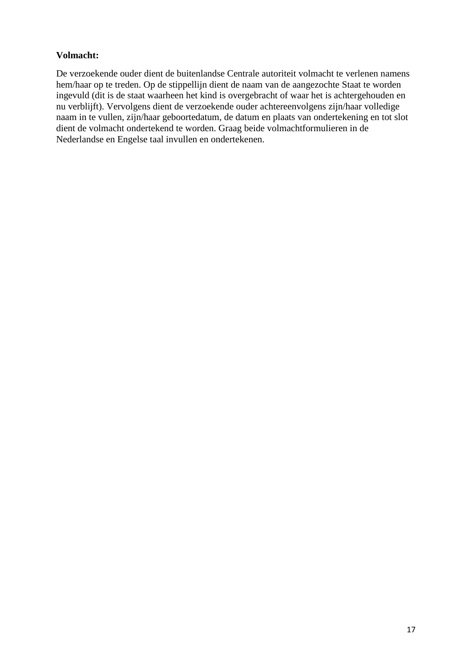# **Volmacht:**

De verzoekende ouder dient de buitenlandse Centrale autoriteit volmacht te verlenen namens hem/haar op te treden. Op de stippellijn dient de naam van de aangezochte Staat te worden ingevuld (dit is de staat waarheen het kind is overgebracht of waar het is achtergehouden en nu verblijft). Vervolgens dient de verzoekende ouder achtereenvolgens zijn/haar volledige naam in te vullen, zijn/haar geboortedatum, de datum en plaats van ondertekening en tot slot dient de volmacht ondertekend te worden. Graag beide volmachtformulieren in de Nederlandse en Engelse taal invullen en ondertekenen.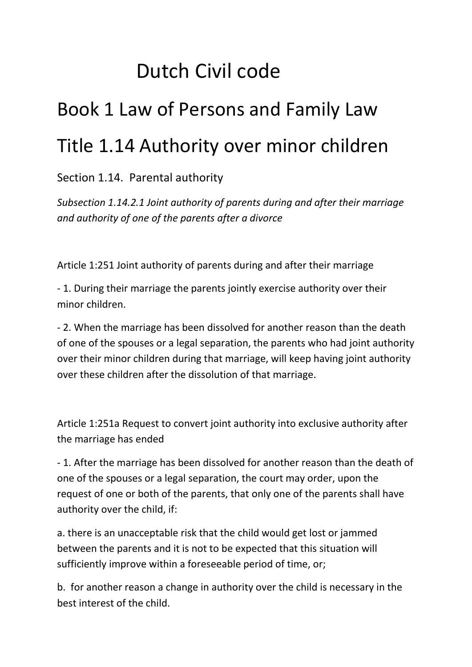# Dutch Civil code

# Book 1 Law of Persons and Family Law Title 1.14 Authority over minor children

# Section 1.14. Parental authority

*Subsection 1.14.2.1 Joint authority of parents during and after their marriage and authority of one of the parents after a divorce* 

Article 1:251 Joint authority of parents during and after their marriage

- 1. During their marriage the parents jointly exercise authority over their minor children.

- 2. When the marriage has been dissolved for another reason than the death of one of the spouses or a legal separation, the parents who had joint authority over their minor children during that marriage, will keep having joint authority over these children after the dissolution of that marriage.

Article 1:251a Request to convert joint authority into exclusive authority after the marriage has ended

- 1. After the marriage has been dissolved for another reason than the death of one of the spouses or a legal separation, the court may order, upon the request of one or both of the parents, that only one of the parents shall have authority over the child, if:

a. there is an unacceptable risk that the child would get lost or jammed between the parents and it is not to be expected that this situation will sufficiently improve within a foreseeable period of time, or;

b. for another reason a change in authority over the child is necessary in the best interest of the child.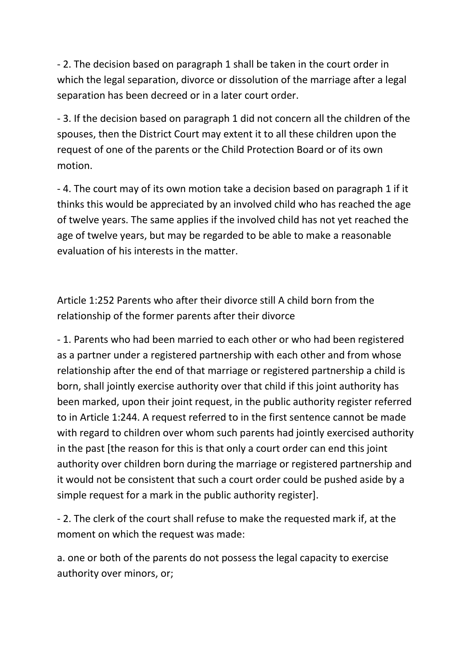- 2. The decision based on paragraph 1 shall be taken in the court order in which the legal separation, divorce or dissolution of the marriage after a legal separation has been decreed or in a later court order.

- 3. If the decision based on paragraph 1 did not concern all the children of the spouses, then the District Court may extent it to all these children upon the request of one of the parents or the Child Protection Board or of its own motion.

- 4. The court may of its own motion take a decision based on paragraph 1 if it thinks this would be appreciated by an involved child who has reached the age of twelve years. The same applies if the involved child has not yet reached the age of twelve years, but may be regarded to be able to make a reasonable evaluation of his interests in the matter.

Article 1:252 Parents who after their divorce still A child born from the relationship of the former parents after their divorce

- 1. Parents who had been married to each other or who had been registered as a partner under a registered partnership with each other and from whose relationship after the end of that marriage or registered partnership a child is born, shall jointly exercise authority over that child if this joint authority has been marked, upon their joint request, in the public authority register referred to in Article 1:244. A request referred to in the first sentence cannot be made with regard to children over whom such parents had jointly exercised authority in the past [the reason for this is that only a court order can end this joint authority over children born during the marriage or registered partnership and it would not be consistent that such a court order could be pushed aside by a simple request for a mark in the public authority register].

- 2. The clerk of the court shall refuse to make the requested mark if, at the moment on which the request was made:

a. one or both of the parents do not possess the legal capacity to exercise authority over minors, or;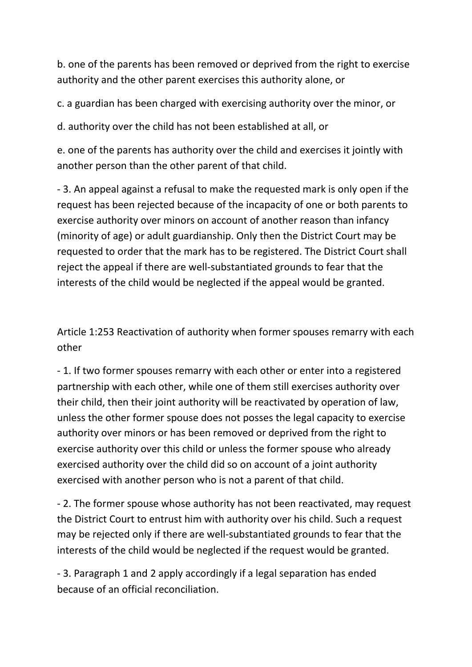b. one of the parents has been removed or deprived from the right to exercise authority and the other parent exercises this authority alone, or

c. a guardian has been charged with exercising authority over the minor, or

d. authority over the child has not been established at all, or

e. one of the parents has authority over the child and exercises it jointly with another person than the other parent of that child.

- 3. An appeal against a refusal to make the requested mark is only open if the request has been rejected because of the incapacity of one or both parents to exercise authority over minors on account of another reason than infancy (minority of age) or adult guardianship. Only then the District Court may be requested to order that the mark has to be registered. The District Court shall reject the appeal if there are well-substantiated grounds to fear that the interests of the child would be neglected if the appeal would be granted.

Article 1:253 Reactivation of authority when former spouses remarry with each other

- 1. If two former spouses remarry with each other or enter into a registered partnership with each other, while one of them still exercises authority over their child, then their joint authority will be reactivated by operation of law, unless the other former spouse does not posses the legal capacity to exercise authority over minors or has been removed or deprived from the right to exercise authority over this child or unless the former spouse who already exercised authority over the child did so on account of a joint authority exercised with another person who is not a parent of that child.

- 2. The former spouse whose authority has not been reactivated, may request the District Court to entrust him with authority over his child. Such a request may be rejected only if there are well-substantiated grounds to fear that the interests of the child would be neglected if the request would be granted.

- 3. Paragraph 1 and 2 apply accordingly if a legal separation has ended because of an official reconciliation.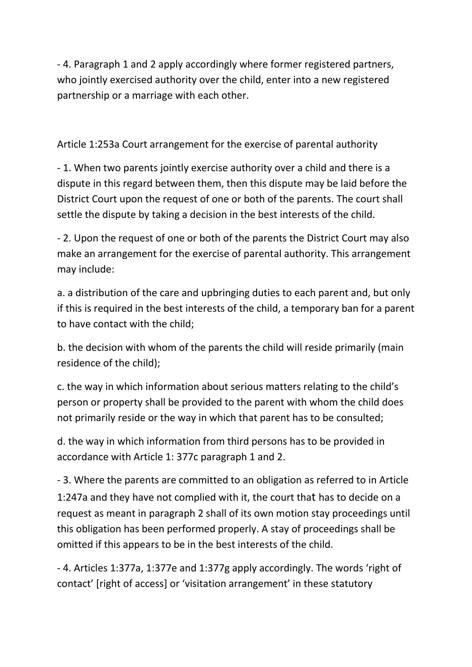- 4. Paragraph 1 and 2 apply accordingly where former registered partners, who jointly exercised authority over the child, enter into a new registered partnership or a marriage with each other.

Article 1:253a Court arrangement for the exercise of parental authority

- 1. When two parents jointly exercise authority over a child and there is a dispute in this regard between them, then this dispute may be laid before the District Court upon the request of one or both of the parents. The court shall settle the dispute by taking a decision in the best interests of the child.

- 2. Upon the request of one or both of the parents the District Court may also make an arrangement for the exercise of parental authority. This arrangement may include:

a. a distribution of the care and upbringing duties to each parent and, but only if this is required in the best interests of the child, a temporary ban for a parent to have contact with the child;

b. the decision with whom of the parents the child will reside primarily (main residence of the child);

c. the way in which information about serious matters relating to the child's person or property shall be provided to the parent with whom the child does not primarily reside or the way in which that parent has to be consulted;

d. the way in which information from third persons has to be provided in accordance with Article 1: 377c paragraph 1 and 2.

- 3. Where the parents are committed to an obligation as referred to in Article 1:247a and they have not complied with it, the court that has to decide on a request as meant in paragraph 2 shall of its own motion stay proceedings until this obligation has been performed properly. A stay of proceedings shall be omitted if this appears to be in the best interests of the child.

- 4. Articles 1:377a, 1:377e and 1:377g apply accordingly. The words 'right of contact' [right of access] or 'visitation arrangement' in these statutory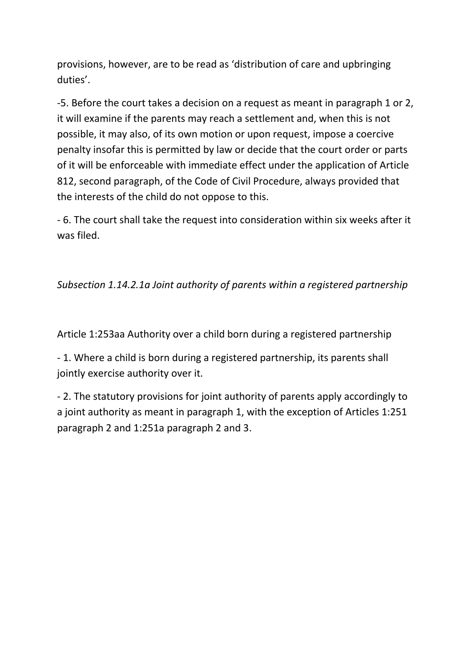provisions, however, are to be read as 'distribution of care and upbringing duties'.

-5. Before the court takes a decision on a request as meant in paragraph 1 or 2, it will examine if the parents may reach a settlement and, when this is not possible, it may also, of its own motion or upon request, impose a coercive penalty insofar this is permitted by law or decide that the court order or parts of it will be enforceable with immediate effect under the application of Article 812, second paragraph, of the Code of Civil Procedure, always provided that the interests of the child do not oppose to this.

- 6. The court shall take the request into consideration within six weeks after it was filed.

# *Subsection 1.14.2.1a Joint authority of parents within a registered partnership*

Article 1:253aa Authority over a child born during a registered partnership

- 1. Where a child is born during a registered partnership, its parents shall jointly exercise authority over it.

- 2. The statutory provisions for joint authority of parents apply accordingly to a joint authority as meant in paragraph 1, with the exception of Articles 1:251 paragraph 2 and 1:251a paragraph 2 and 3.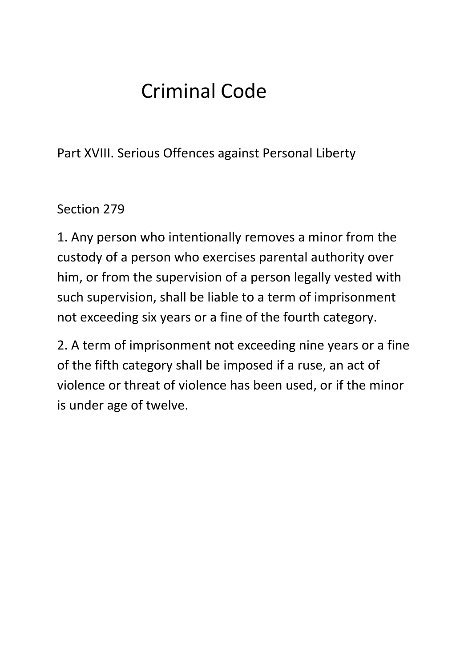# Criminal Code

Part XVIII. Serious Offences against Personal Liberty

# Section 279

1. Any person who intentionally removes a minor from the custody of a person who exercises parental authority over him, or from the supervision of a person legally vested with such supervision, shall be liable to a term of imprisonment not exceeding six years or a fine of the fourth category.

2. A term of imprisonment not exceeding nine years or a fine of the fifth category shall be imposed if a ruse, an act of violence or threat of violence has been used, or if the minor is under age of twelve.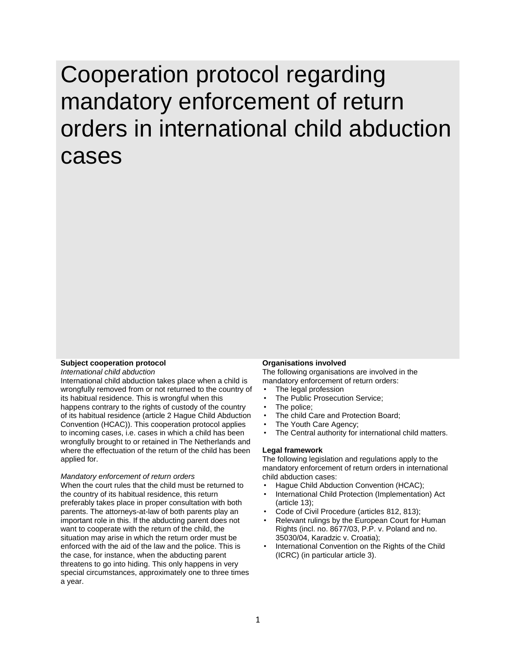# Cooperation protocol regarding mandatory enforcement of return orders in international child abduction cases

#### **Subject cooperation protocol**

*International child abduction*

International child abduction takes place when a child is wrongfully removed from or not returned to the country of its habitual residence. This is wrongful when this happens contrary to the rights of custody of the country of its habitual residence (article 2 Hague Child Abduction Convention (HCAC)). This cooperation protocol applies to incoming cases, i.e. cases in which a child has been wrongfully brought to or retained in The Netherlands and where the effectuation of the return of the child has been applied for.

#### *Mandatory enforcement of return orders*

When the court rules that the child must be returned to the country of its habitual residence, this return preferably takes place in proper consultation with both parents. The attorneys-at-law of both parents play an important role in this. If the abducting parent does not want to cooperate with the return of the child, the situation may arise in which the return order must be enforced with the aid of the law and the police. This is the case, for instance, when the abducting parent threatens to go into hiding. This only happens in very special circumstances, approximately one to three times a year.

#### **Organisations involved**

The following organisations are involved in the mandatory enforcement of return orders:

- The legal profession The Public Prosecution Service;
- 
- The police;
- The child Care and Protection Board;
- The Youth Care Agency;
- The Central authority for international child matters.

#### **Legal framework**

The following legislation and regulations apply to the mandatory enforcement of return orders in international child abduction cases:

- Hague Child Abduction Convention (HCAC);
- International Child Protection (Implementation) Act (article 13);
- Code of Civil Procedure (articles 812, 813);
- Relevant rulings by the European Court for Human Rights (incl. no. 8677/03, P.P. v. Poland and no. 35030/04, Karadzic v. Croatia);
- International Convention on the Rights of the Child (ICRC) (in particular article 3).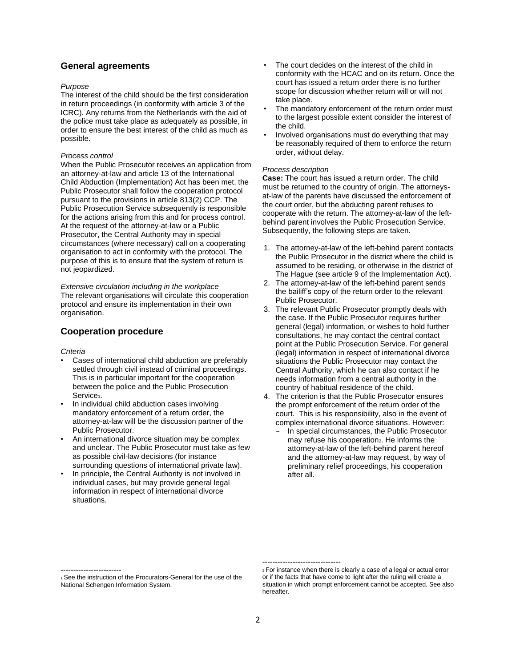#### **General agreements**

#### *Purpose*

The interest of the child should be the first consideration in return proceedings (in conformity with article 3 of the ICRC). Any returns from the Netherlands with the aid of the police must take place as adequately as possible, in order to ensure the best interest of the child as much as possible.

#### *Process control*

When the Public Prosecutor receives an application from an attorney-at-law and article 13 of the International Child Abduction (Implementation) Act has been met, the Public Prosecutor shall follow the cooperation protocol pursuant to the provisions in article 813(2) CCP. The Public Prosecution Service subsequently is responsible for the actions arising from this and for process control. At the request of the attorney-at-law or a Public Prosecutor, the Central Authority may in special circumstances (where necessary) call on a cooperating organisation to act in conformity with the protocol. The purpose of this is to ensure that the system of return is not jeopardized.

*Extensive circulation including in the workplace* The relevant organisations will circulate this cooperation protocol and ensure its implementation in their own organisation.

#### **Cooperation procedure**

*Criteria*

------------------------

- Cases of international child abduction are preferably settled through civil instead of criminal proceedings. This is in particular important for the cooperation between the police and the Public Prosecution Service<sub>1</sub>.
- In individual child abduction cases involving mandatory enforcement of a return order, the attorney-at-law will be the discussion partner of the Public Prosecutor.
- An international divorce situation may be complex and unclear. The Public Prosecutor must take as few as possible civil-law decisions (for instance surrounding questions of international private law).
- In principle, the Central Authority is not involved in individual cases, but may provide general legal information in respect of international divorce situations.
- The court decides on the interest of the child in conformity with the HCAC and on its return. Once the court has issued a return order there is no further scope for discussion whether return will or will not take place.
- The mandatory enforcement of the return order must to the largest possible extent consider the interest of the child.
- Involved organisations must do everything that may be reasonably required of them to enforce the return order, without delay.

#### *Process description*

**Case:** The court has issued a return order. The child must be returned to the country of origin. The attorneysat-law of the parents have discussed the enforcement of the court order, but the abducting parent refuses to cooperate with the return. The attorney-at-law of the leftbehind parent involves the Public Prosecution Service. Subsequently, the following steps are taken.

- 1. The attorney-at-law of the left-behind parent contacts the Public Prosecutor in the district where the child is assumed to be residing, or otherwise in the district of The Hague (see article 9 of the Implementation Act).
- 2. The attorney-at-law of the left-behind parent sends the bailiff's copy of the return order to the relevant Public Prosecutor.
- 3. The relevant Public Prosecutor promptly deals with the case. If the Public Prosecutor requires further general (legal) information, or wishes to hold further consultations, he may contact the central contact point at the Public Prosecution Service. For general (legal) information in respect of international divorce situations the Public Prosecutor may contact the Central Authority, which he can also contact if he needs information from a central authority in the country of habitual residence of the child.
- 4. The criterion is that the Public Prosecutor ensures the prompt enforcement of the return order of the court. This is his responsibility, also in the event of complex international divorce situations. However:
	- In special circumstances, the Public Prosecutor may refuse his cooperation<sub>2</sub>. He informs the attorney-at-law of the left-behind parent hereof and the attorney-at-law may request, by way of preliminary relief proceedings, his cooperation after all.

-------------------------------

<sup>1</sup>See the instruction of the Procurators-General for the use of the National Schengen Information System.

<sup>2</sup>For instance when there is clearly a case of a legal or actual error or if the facts that have come to light after the ruling will create a situation in which prompt enforcement cannot be accepted. See also hereafter.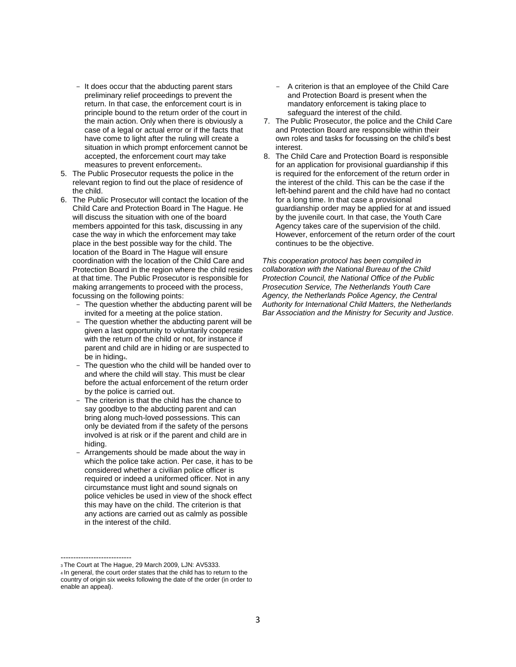- It does occur that the abducting parent stars preliminary relief proceedings to prevent the return. In that case, the enforcement court is in principle bound to the return order of the court in the main action. Only when there is obviously a case of a legal or actual error or if the facts that have come to light after the ruling will create a situation in which prompt enforcement cannot be accepted, the enforcement court may take measures to prevent enforcements.
- 5. The Public Prosecutor requests the police in the relevant region to find out the place of residence of the child.
- 6. The Public Prosecutor will contact the location of the Child Care and Protection Board in The Hague. He will discuss the situation with one of the board members appointed for this task, discussing in any case the way in which the enforcement may take place in the best possible way for the child. The location of the Board in The Hague will ensure coordination with the location of the Child Care and Protection Board in the region where the child resides at that time. The Public Prosecutor is responsible for making arrangements to proceed with the process, focussing on the following points:
	- The question whether the abducting parent will be invited for a meeting at the police station.
	- The question whether the abducting parent will be given a last opportunity to voluntarily cooperate with the return of the child or not, for instance if parent and child are in hiding or are suspected to be in hiding<sub>4</sub>.
	- The question who the child will be handed over to and where the child will stay. This must be clear before the actual enforcement of the return order by the police is carried out.
	- The criterion is that the child has the chance to say goodbye to the abducting parent and can bring along much-loved possessions. This can only be deviated from if the safety of the persons involved is at risk or if the parent and child are in hiding.
	- Arrangements should be made about the way in which the police take action. Per case, it has to be considered whether a civilian police officer is required or indeed a uniformed officer. Not in any circumstance must light and sound signals on police vehicles be used in view of the shock effect this may have on the child. The criterion is that any actions are carried out as calmly as possible in the interest of the child.
- A criterion is that an employee of the Child Care and Protection Board is present when the mandatory enforcement is taking place to safeguard the interest of the child.
- 7. The Public Prosecutor, the police and the Child Care and Protection Board are responsible within their own roles and tasks for focussing on the child's best interest.
- 8. The Child Care and Protection Board is responsible for an application for provisional guardianship if this is required for the enforcement of the return order in the interest of the child. This can be the case if the left-behind parent and the child have had no contact for a long time. In that case a provisional guardianship order may be applied for at and issued by the juvenile court. In that case, the Youth Care Agency takes care of the supervision of the child. However, enforcement of the return order of the court continues to be the objective.

*This cooperation protocol has been compiled in collaboration with the National Bureau of the Child Protection Council, the National Office of the Public Prosecution Service, The Netherlands Youth Care Agency, the Netherlands Police Agency, the Central Authority for International Child Matters, the Netherlands Bar Association and the Ministry for Security and Justice.*

<sup>----------------------------</sup> <sup>3</sup>The Court at The Hague, 29 March 2009, LJN: AV5333.

<sup>4</sup>In general, the court order states that the child has to return to the country of origin six weeks following the date of the order (in order to enable an appeal).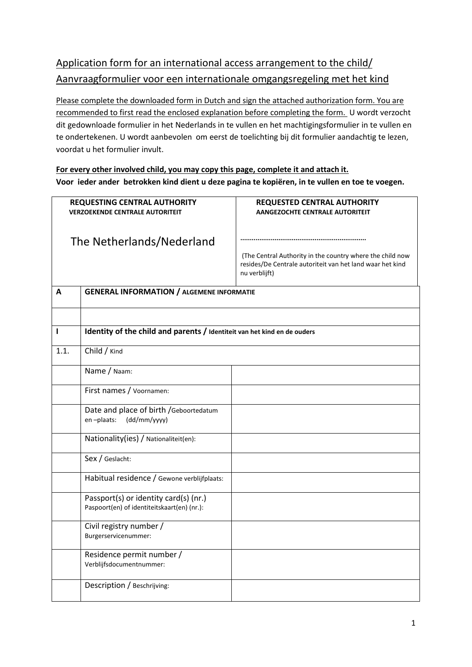# Application form for an international access arrangement to the child/ Aanvraagformulier voor een internationale omgangsregeling met het kind

Please complete the downloaded form in Dutch and sign the attached authorization form. You are recommended to first read the enclosed explanation before completing the form. U wordt verzocht dit gedownloade formulier in het Nederlands in te vullen en het machtigingsformulier in te vullen en te ondertekenen. U wordt aanbevolen om eerst de toelichting bij dit formulier aandachtig te lezen, voordat u het formulier invult.

**For every other involved child, you may copy this page, complete it and attach it. Voor ieder ander betrokken kind dient u deze pagina te kopiëren, in te vullen en toe te voegen.**

| <b>REQUESTING CENTRAL AUTHORITY</b><br><b>VERZOEKENDE CENTRALE AUTORITEIT</b> |                                                                                      | <b>REQUESTED CENTRAL AUTHORITY</b><br><b>AANGEZOCHTE CENTRALE AUTORITEIT</b>                                                            |
|-------------------------------------------------------------------------------|--------------------------------------------------------------------------------------|-----------------------------------------------------------------------------------------------------------------------------------------|
|                                                                               |                                                                                      |                                                                                                                                         |
| The Netherlands/Nederland                                                     |                                                                                      |                                                                                                                                         |
|                                                                               |                                                                                      | (The Central Authority in the country where the child now<br>resides/De Centrale autoriteit van het land waar het kind<br>nu verblijft) |
| A                                                                             | <b>GENERAL INFORMATION / ALGEMENE INFORMATIE</b>                                     |                                                                                                                                         |
|                                                                               |                                                                                      |                                                                                                                                         |
| ı                                                                             | Identity of the child and parents / Identiteit van het kind en de ouders             |                                                                                                                                         |
| 1.1.                                                                          | Child / Kind                                                                         |                                                                                                                                         |
|                                                                               | Name / Naam:                                                                         |                                                                                                                                         |
|                                                                               | First names / Voornamen:                                                             |                                                                                                                                         |
|                                                                               | Date and place of birth / Geboortedatum<br>en-plaats:<br>(dd/mm/yyyy)                |                                                                                                                                         |
|                                                                               | Nationality(ies) / Nationaliteit(en):                                                |                                                                                                                                         |
|                                                                               | Sex / Geslacht:                                                                      |                                                                                                                                         |
|                                                                               | Habitual residence / Gewone verblijfplaats:                                          |                                                                                                                                         |
|                                                                               | Passport(s) or identity card(s) (nr.)<br>Paspoort(en) of identiteitskaart(en) (nr.): |                                                                                                                                         |
|                                                                               | Civil registry number /<br>Burgerservicenummer:                                      |                                                                                                                                         |
|                                                                               | Residence permit number /<br>Verblijfsdocumentnummer:                                |                                                                                                                                         |
|                                                                               | Description / Beschrijving:                                                          |                                                                                                                                         |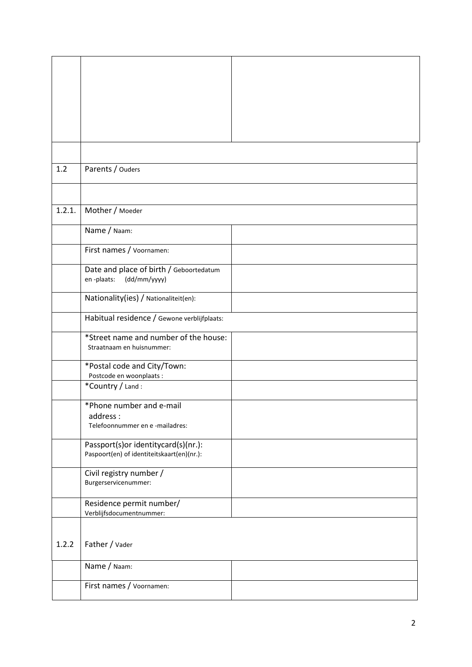| 1.2    | Parents / Ouders                            |  |
|--------|---------------------------------------------|--|
|        |                                             |  |
|        |                                             |  |
|        |                                             |  |
| 1.2.1. | Mother / Moeder                             |  |
|        |                                             |  |
|        | Name / Naam:                                |  |
|        |                                             |  |
|        |                                             |  |
|        | First names / Voornamen:                    |  |
|        |                                             |  |
|        | Date and place of birth / Geboortedatum     |  |
|        | en-plaats:<br>(dd/mm/yyyy)                  |  |
|        |                                             |  |
|        | Nationality(ies) / Nationaliteit(en):       |  |
|        |                                             |  |
|        | Habitual residence / Gewone verblijfplaats: |  |
|        |                                             |  |
|        | *Street name and number of the house:       |  |
|        | Straatnaam en huisnummer:                   |  |
|        |                                             |  |
|        | *Postal code and City/Town:                 |  |
|        | Postcode en woonplaats :                    |  |
|        | *Country / Land:                            |  |
|        |                                             |  |
|        | *Phone number and e-mail                    |  |
|        |                                             |  |
|        | address:                                    |  |
|        | Telefoonnummer en e-mailadres:              |  |
|        |                                             |  |
|        | Passport(s)or identitycard(s)(nr.):         |  |
|        | Paspoort(en) of identiteitskaart(en)(nr.):  |  |
|        |                                             |  |
|        | Civil registry number /                     |  |
|        | Burgerservicenummer:                        |  |
|        |                                             |  |
|        | Residence permit number/                    |  |
|        | Verblijfsdocumentnummer:                    |  |
|        |                                             |  |
|        |                                             |  |
|        |                                             |  |
| 1.2.2  | Father / Vader                              |  |
|        |                                             |  |
|        | Name / Naam:                                |  |
|        |                                             |  |
|        | First names / Voornamen:                    |  |
|        |                                             |  |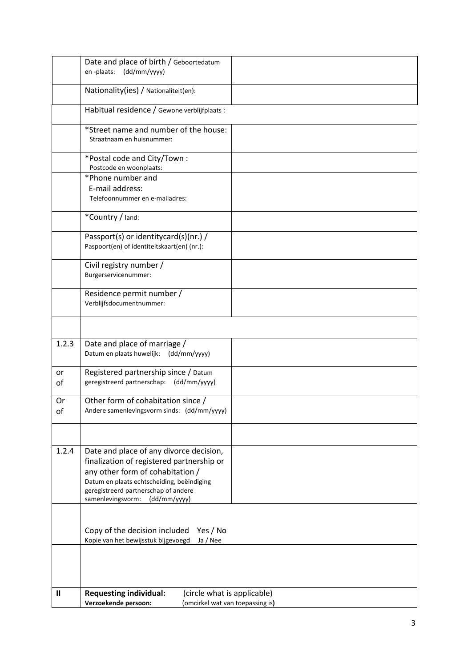|          | Date and place of birth / Geboortedatum                                                                                  |  |
|----------|--------------------------------------------------------------------------------------------------------------------------|--|
|          | en-plaats: (dd/mm/yyyy)                                                                                                  |  |
|          | Nationality(ies) / Nationaliteit(en):                                                                                    |  |
|          | Habitual residence / Gewone verblijfplaats:                                                                              |  |
|          | *Street name and number of the house:<br>Straatnaam en huisnummer:                                                       |  |
|          | *Postal code and City/Town:<br>Postcode en woonplaats:                                                                   |  |
|          | *Phone number and<br>E-mail address:                                                                                     |  |
|          | Telefoonnummer en e-mailadres:                                                                                           |  |
|          | *Country / land:                                                                                                         |  |
|          | Passport(s) or identitycard(s)(nr.) /<br>Paspoort(en) of identiteitskaart(en) (nr.):                                     |  |
|          | Civil registry number /<br>Burgerservicenummer:                                                                          |  |
|          | Residence permit number /<br>Verblijfsdocumentnummer:                                                                    |  |
|          |                                                                                                                          |  |
| 1.2.3    | Date and place of marriage /<br>Datum en plaats huwelijk: (dd/mm/yyyy)                                                   |  |
| or<br>оf | Registered partnership since / Datum<br>geregistreerd partnerschap: (dd/mm/yyyy)                                         |  |
| Or<br>оt | Other form of cohabitation since /<br>Andere samenlevingsvorm sinds: (dd/mm/yyyy)                                        |  |
|          |                                                                                                                          |  |
| 1.2.4    | Date and place of any divorce decision,                                                                                  |  |
|          | finalization of registered partnership or<br>any other form of cohabitation /                                            |  |
|          | Datum en plaats echtscheiding, beëindiging<br>geregistreerd partnerschap of andere<br>samenlevingsvorm:<br>(dd/mm/yyyy)  |  |
|          |                                                                                                                          |  |
|          | Copy of the decision included<br>Yes / No<br>Kopie van het bewijsstuk bijgevoegd<br>Ja / Nee                             |  |
|          |                                                                                                                          |  |
|          |                                                                                                                          |  |
| Ш        | <b>Requesting individual:</b><br>(circle what is applicable)<br>Verzoekende persoon:<br>(omcirkel wat van toepassing is) |  |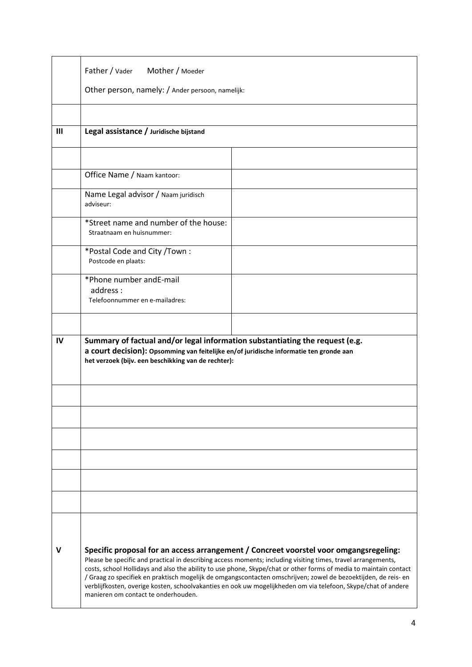|     | Father / Vader Mother / Moeder                                                                                                                                                                                                                                                                                                                                                                                                                                                                                                                                                                        |  |
|-----|-------------------------------------------------------------------------------------------------------------------------------------------------------------------------------------------------------------------------------------------------------------------------------------------------------------------------------------------------------------------------------------------------------------------------------------------------------------------------------------------------------------------------------------------------------------------------------------------------------|--|
|     | Other person, namely: / Ander persoon, namelijk:                                                                                                                                                                                                                                                                                                                                                                                                                                                                                                                                                      |  |
|     |                                                                                                                                                                                                                                                                                                                                                                                                                                                                                                                                                                                                       |  |
| III | Legal assistance / Juridische bijstand                                                                                                                                                                                                                                                                                                                                                                                                                                                                                                                                                                |  |
|     |                                                                                                                                                                                                                                                                                                                                                                                                                                                                                                                                                                                                       |  |
|     | Office Name / Naam kantoor:                                                                                                                                                                                                                                                                                                                                                                                                                                                                                                                                                                           |  |
|     | Name Legal advisor / Naam juridisch<br>adviseur:                                                                                                                                                                                                                                                                                                                                                                                                                                                                                                                                                      |  |
|     | *Street name and number of the house:<br>Straatnaam en huisnummer:                                                                                                                                                                                                                                                                                                                                                                                                                                                                                                                                    |  |
|     | *Postal Code and City /Town:<br>Postcode en plaats:                                                                                                                                                                                                                                                                                                                                                                                                                                                                                                                                                   |  |
|     | *Phone number and E-mail<br>address:<br>Telefoonnummer en e-mailadres:                                                                                                                                                                                                                                                                                                                                                                                                                                                                                                                                |  |
|     |                                                                                                                                                                                                                                                                                                                                                                                                                                                                                                                                                                                                       |  |
| IV  | Summary of factual and/or legal information substantiating the request (e.g.<br>a court decision): Opsomming van feitelijke en/of juridische informatie ten gronde aan<br>het verzoek (bijv. een beschikking van de rechter):                                                                                                                                                                                                                                                                                                                                                                         |  |
|     |                                                                                                                                                                                                                                                                                                                                                                                                                                                                                                                                                                                                       |  |
|     |                                                                                                                                                                                                                                                                                                                                                                                                                                                                                                                                                                                                       |  |
|     |                                                                                                                                                                                                                                                                                                                                                                                                                                                                                                                                                                                                       |  |
|     |                                                                                                                                                                                                                                                                                                                                                                                                                                                                                                                                                                                                       |  |
|     |                                                                                                                                                                                                                                                                                                                                                                                                                                                                                                                                                                                                       |  |
|     |                                                                                                                                                                                                                                                                                                                                                                                                                                                                                                                                                                                                       |  |
|     |                                                                                                                                                                                                                                                                                                                                                                                                                                                                                                                                                                                                       |  |
| V   | Specific proposal for an access arrangement / Concreet voorstel voor omgangsregeling:<br>Please be specific and practical in describing access moments; including visiting times, travel arrangements,<br>costs, school Hollidays and also the ability to use phone, Skype/chat or other forms of media to maintain contact<br>/ Graag zo specifiek en praktisch mogelijk de omgangscontacten omschrijven; zowel de bezoektijden, de reis- en<br>verblijfkosten, overige kosten, schoolvakanties en ook uw mogelijkheden om via telefoon, Skype/chat of andere<br>manieren om contact te onderhouden. |  |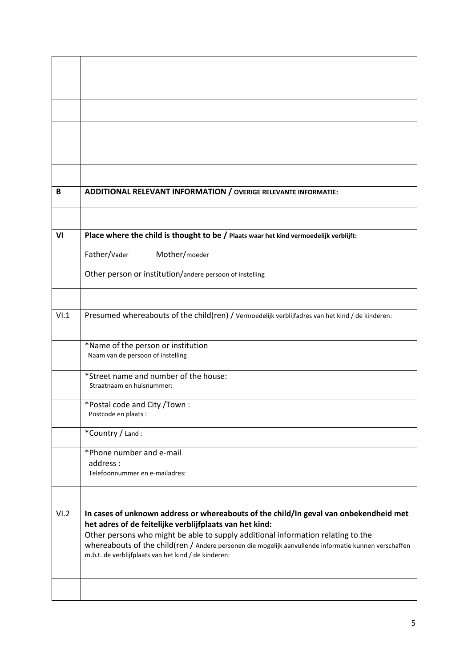| В    | ADDITIONAL RELEVANT INFORMATION / OVERIGE RELEVANTE INFORMATIE:                                                                                                                                                                                                                                                                                                                                       |  |  |
|------|-------------------------------------------------------------------------------------------------------------------------------------------------------------------------------------------------------------------------------------------------------------------------------------------------------------------------------------------------------------------------------------------------------|--|--|
|      |                                                                                                                                                                                                                                                                                                                                                                                                       |  |  |
| VI   | Place where the child is thought to be / Plaats waar het kind vermoedelijk verblijft:                                                                                                                                                                                                                                                                                                                 |  |  |
|      | Father/Vader<br>Mother/moeder                                                                                                                                                                                                                                                                                                                                                                         |  |  |
|      | Other person or institution/andere persoon of instelling                                                                                                                                                                                                                                                                                                                                              |  |  |
|      |                                                                                                                                                                                                                                                                                                                                                                                                       |  |  |
| VI.1 | Presumed whereabouts of the child(ren) / Vermoedelijk verblijfadres van het kind / de kinderen:                                                                                                                                                                                                                                                                                                       |  |  |
|      | *Name of the person or institution<br>Naam van de persoon of instelling                                                                                                                                                                                                                                                                                                                               |  |  |
|      | *Street name and number of the house:<br>Straatnaam en huisnummer:                                                                                                                                                                                                                                                                                                                                    |  |  |
|      | *Postal code and City /Town:<br>Postcode en plaats:                                                                                                                                                                                                                                                                                                                                                   |  |  |
|      | *Country / Land:                                                                                                                                                                                                                                                                                                                                                                                      |  |  |
|      | *Phone number and e-mail<br>address:<br>Telefoonnummer en e-mailadres:                                                                                                                                                                                                                                                                                                                                |  |  |
|      |                                                                                                                                                                                                                                                                                                                                                                                                       |  |  |
| VI.2 | In cases of unknown address or whereabouts of the child/In geval van onbekendheid met<br>het adres of de feitelijke verblijfplaats van het kind:<br>Other persons who might be able to supply additional information relating to the<br>whereabouts of the child(ren / Andere personen die mogelijk aanvullende informatie kunnen verschaffen<br>m.b.t. de verblijfplaats van het kind / de kinderen: |  |  |
|      |                                                                                                                                                                                                                                                                                                                                                                                                       |  |  |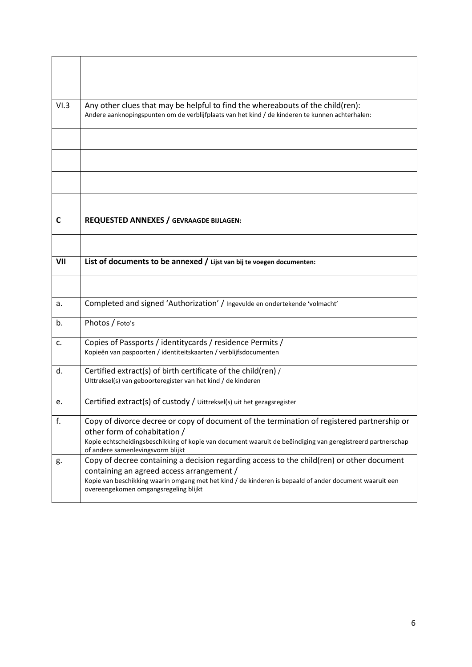| VI.3 | Any other clues that may be helpful to find the whereabouts of the child(ren):<br>Andere aanknopingspunten om de verblijfplaats van het kind / de kinderen te kunnen achterhalen:                                                                                                          |
|------|--------------------------------------------------------------------------------------------------------------------------------------------------------------------------------------------------------------------------------------------------------------------------------------------|
|      |                                                                                                                                                                                                                                                                                            |
|      |                                                                                                                                                                                                                                                                                            |
|      |                                                                                                                                                                                                                                                                                            |
|      |                                                                                                                                                                                                                                                                                            |
| C    | <b>REQUESTED ANNEXES / GEVRAAGDE BIJLAGEN:</b>                                                                                                                                                                                                                                             |
|      |                                                                                                                                                                                                                                                                                            |
| VII  | List of documents to be annexed / Lijst van bij te voegen documenten:                                                                                                                                                                                                                      |
|      |                                                                                                                                                                                                                                                                                            |
| a.   | Completed and signed 'Authorization' / Ingevulde en ondertekende 'volmacht'                                                                                                                                                                                                                |
| b.   | Photos / Foto's                                                                                                                                                                                                                                                                            |
| c.   | Copies of Passports / identitycards / residence Permits /<br>Kopieën van paspoorten / identiteitskaarten / verblijfsdocumenten                                                                                                                                                             |
| d.   | Certified extract(s) of birth certificate of the child(ren) /<br>Ulttreksel(s) van geboorteregister van het kind / de kinderen                                                                                                                                                             |
| e.   | Certified extract(s) of custody / Uittreksel(s) uit het gezagsregister                                                                                                                                                                                                                     |
| f.   | Copy of divorce decree or copy of document of the termination of registered partnership or<br>other form of cohabitation /<br>Kopie echtscheidingsbeschikking of kopie van document waaruit de beëindiging van geregistreerd partnerschap<br>of andere samenlevingsvorm blijkt             |
| g.   | Copy of decree containing a decision regarding access to the child(ren) or other document<br>containing an agreed access arrangement /<br>Kopie van beschikking waarin omgang met het kind / de kinderen is bepaald of ander document waaruit een<br>overeengekomen omgangsregeling blijkt |

è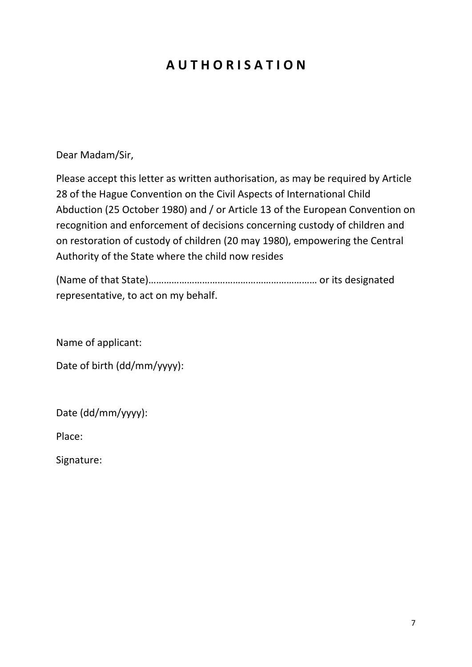# **A U T H O R I S A T I O N**

Dear Madam/Sir,

Please accept this letter as written authorisation, as may be required by Article 28 of the Hague Convention on the Civil Aspects of International Child Abduction (25 October 1980) and / or Article 13 of the European Convention on recognition and enforcement of decisions concerning custody of children and on restoration of custody of children (20 may 1980), empowering the Central Authority of the State where the child now resides

(Name of that State)………………………………………………………… or its designated representative, to act on my behalf.

Name of applicant:

Date of birth (dd/mm/yyyy):

Date (dd/mm/yyyy):

Place:

Signature: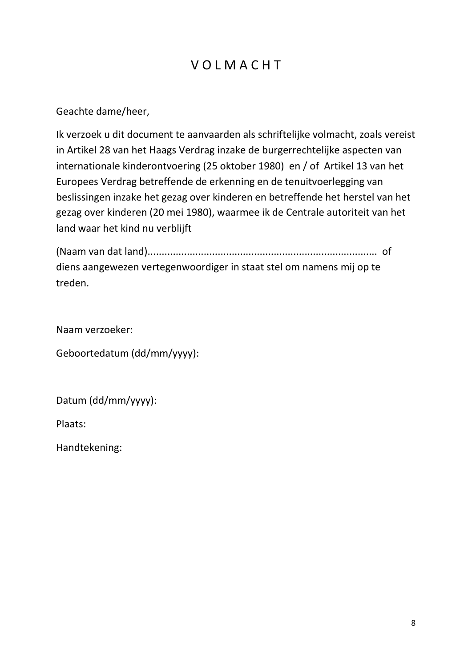# V O L M A C H T

Geachte dame/heer,

Ik verzoek u dit document te aanvaarden als schriftelijke volmacht, zoals vereist in Artikel 28 van het Haags Verdrag inzake de burgerrechtelijke aspecten van internationale kinderontvoering (25 oktober 1980) en / of Artikel 13 van het Europees Verdrag betreffende de erkenning en de tenuitvoerlegging van beslissingen inzake het gezag over kinderen en betreffende het herstel van het gezag over kinderen (20 mei 1980), waarmee ik de Centrale autoriteit van het land waar het kind nu verblijft

(Naam van dat land).................................................................................. of diens aangewezen vertegenwoordiger in staat stel om namens mij op te treden.

Naam verzoeker:

Geboortedatum (dd/mm/yyyy):

Datum (dd/mm/yyyy):

Plaats:

Handtekening: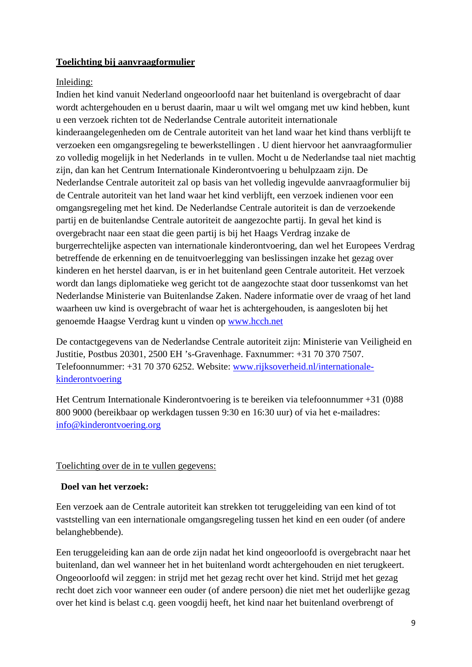# **Toelichting bij aanvraagformulier**

# Inleiding:

Indien het kind vanuit Nederland ongeoorloofd naar het buitenland is overgebracht of daar wordt achtergehouden en u berust daarin, maar u wilt wel omgang met uw kind hebben, kunt u een verzoek richten tot de Nederlandse Centrale autoriteit internationale kinderaangelegenheden om de Centrale autoriteit van het land waar het kind thans verblijft te verzoeken een omgangsregeling te bewerkstellingen . U dient hiervoor het aanvraagformulier zo volledig mogelijk in het Nederlands in te vullen. Mocht u de Nederlandse taal niet machtig zijn, dan kan het Centrum Internationale Kinderontvoering u behulpzaam zijn. De Nederlandse Centrale autoriteit zal op basis van het volledig ingevulde aanvraagformulier bij de Centrale autoriteit van het land waar het kind verblijft, een verzoek indienen voor een omgangsregeling met het kind. De Nederlandse Centrale autoriteit is dan de verzoekende partij en de buitenlandse Centrale autoriteit de aangezochte partij. In geval het kind is overgebracht naar een staat die geen partij is bij het Haags Verdrag inzake de burgerrechtelijke aspecten van internationale kinderontvoering, dan wel het Europees Verdrag betreffende de erkenning en de tenuitvoerlegging van beslissingen inzake het gezag over kinderen en het herstel daarvan, is er in het buitenland geen Centrale autoriteit. Het verzoek wordt dan langs diplomatieke weg gericht tot de aangezochte staat door tussenkomst van het Nederlandse Ministerie van Buitenlandse Zaken. Nadere informatie over de vraag of het land waarheen uw kind is overgebracht of waar het is achtergehouden, is aangesloten bij het genoemde Haagse Verdrag kunt u vinden op [www.hcch.net](http://www.hcch.net/)

De contactgegevens van de Nederlandse Centrale autoriteit zijn: Ministerie van Veiligheid en Justitie, Postbus 20301, 2500 EH 's-Gravenhage. Faxnummer: +31 70 370 7507. Telefoonnummer: +31 70 370 6252. Website: [www.rijksoverheid.nl/internationale](http://www.rijksoverheid.nl/internationale-kinderontvoering)[kinderontvoering](http://www.rijksoverheid.nl/internationale-kinderontvoering)

Het Centrum Internationale Kinderontvoering is te bereiken via telefoonnummer +31 (0)88 800 9000 (bereikbaar op werkdagen tussen 9:30 en 16:30 uur) of via het e-mailadres: [info@kinderontvoering.org](mailto:info@kinderontvoering.org)

# Toelichting over de in te vullen gegevens:

# **Doel van het verzoek:**

Een verzoek aan de Centrale autoriteit kan strekken tot teruggeleiding van een kind of tot vaststelling van een internationale omgangsregeling tussen het kind en een ouder (of andere belanghebbende).

Een teruggeleiding kan aan de orde zijn nadat het kind ongeoorloofd is overgebracht naar het buitenland, dan wel wanneer het in het buitenland wordt achtergehouden en niet terugkeert. Ongeoorloofd wil zeggen: in strijd met het gezag recht over het kind. Strijd met het gezag recht doet zich voor wanneer een ouder (of andere persoon) die niet met het ouderlijke gezag over het kind is belast c.q. geen voogdij heeft, het kind naar het buitenland overbrengt of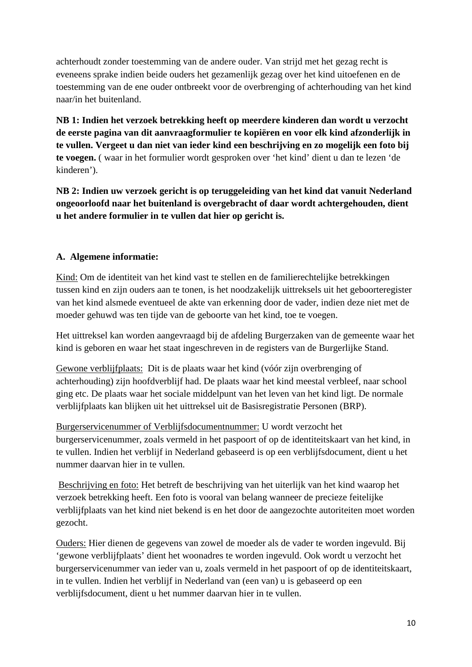achterhoudt zonder toestemming van de andere ouder. Van strijd met het gezag recht is eveneens sprake indien beide ouders het gezamenlijk gezag over het kind uitoefenen en de toestemming van de ene ouder ontbreekt voor de overbrenging of achterhouding van het kind naar/in het buitenland.

**NB 1: Indien het verzoek betrekking heeft op meerdere kinderen dan wordt u verzocht de eerste pagina van dit aanvraagformulier te kopiëren en voor elk kind afzonderlijk in te vullen. Vergeet u dan niet van ieder kind een beschrijving en zo mogelijk een foto bij te voegen.** ( waar in het formulier wordt gesproken over 'het kind' dient u dan te lezen 'de kinderen').

**NB 2: Indien uw verzoek gericht is op teruggeleiding van het kind dat vanuit Nederland ongeoorloofd naar het buitenland is overgebracht of daar wordt achtergehouden, dient u het andere formulier in te vullen dat hier op gericht is.**

# **A. Algemene informatie:**

Kind: Om de identiteit van het kind vast te stellen en de familierechtelijke betrekkingen tussen kind en zijn ouders aan te tonen, is het noodzakelijk uittreksels uit het geboorteregister van het kind alsmede eventueel de akte van erkenning door de vader, indien deze niet met de moeder gehuwd was ten tijde van de geboorte van het kind, toe te voegen.

Het uittreksel kan worden aangevraagd bij de afdeling Burgerzaken van de gemeente waar het kind is geboren en waar het staat ingeschreven in de registers van de Burgerlijke Stand.

Gewone verblijfplaats: Dit is de plaats waar het kind (vóór zijn overbrenging of achterhouding) zijn hoofdverblijf had. De plaats waar het kind meestal verbleef, naar school ging etc. De plaats waar het sociale middelpunt van het leven van het kind ligt. De normale verblijfplaats kan blijken uit het uittreksel uit de Basisregistratie Personen (BRP).

Burgerservicenummer of Verblijfsdocumentnummer: U wordt verzocht het burgerservicenummer, zoals vermeld in het paspoort of op de identiteitskaart van het kind, in te vullen. Indien het verblijf in Nederland gebaseerd is op een verblijfsdocument, dient u het nummer daarvan hier in te vullen.

Beschrijving en foto: Het betreft de beschrijving van het uiterlijk van het kind waarop het verzoek betrekking heeft. Een foto is vooral van belang wanneer de precieze feitelijke verblijfplaats van het kind niet bekend is en het door de aangezochte autoriteiten moet worden gezocht.

Ouders: Hier dienen de gegevens van zowel de moeder als de vader te worden ingevuld. Bij 'gewone verblijfplaats' dient het woonadres te worden ingevuld. Ook wordt u verzocht het burgerservicenummer van ieder van u, zoals vermeld in het paspoort of op de identiteitskaart, in te vullen. Indien het verblijf in Nederland van (een van) u is gebaseerd op een verblijfsdocument, dient u het nummer daarvan hier in te vullen.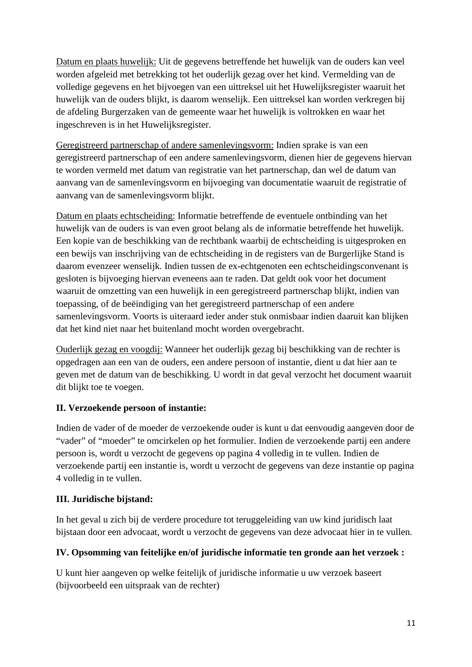Datum en plaats huwelijk: Uit de gegevens betreffende het huwelijk van de ouders kan veel worden afgeleid met betrekking tot het ouderlijk gezag over het kind. Vermelding van de volledige gegevens en het bijvoegen van een uittreksel uit het Huwelijksregister waaruit het huwelijk van de ouders blijkt, is daarom wenselijk. Een uittreksel kan worden verkregen bij de afdeling Burgerzaken van de gemeente waar het huwelijk is voltrokken en waar het ingeschreven is in het Huwelijksregister.

Geregistreerd partnerschap of andere samenlevingsvorm: Indien sprake is van een geregistreerd partnerschap of een andere samenlevingsvorm, dienen hier de gegevens hiervan te worden vermeld met datum van registratie van het partnerschap, dan wel de datum van aanvang van de samenlevingsvorm en bijvoeging van documentatie waaruit de registratie of aanvang van de samenlevingsvorm blijkt.

Datum en plaats echtscheiding: Informatie betreffende de eventuele ontbinding van het huwelijk van de ouders is van even groot belang als de informatie betreffende het huwelijk. Een kopie van de beschikking van de rechtbank waarbij de echtscheiding is uitgesproken en een bewijs van inschrijving van de echtscheiding in de registers van de Burgerlijke Stand is daarom evenzeer wenselijk. Indien tussen de ex-echtgenoten een echtscheidingsconvenant is gesloten is bijvoeging hiervan eveneens aan te raden. Dat geldt ook voor het document waaruit de omzetting van een huwelijk in een geregistreerd partnerschap blijkt, indien van toepassing, of de beëindiging van het geregistreerd partnerschap of een andere samenlevingsvorm. Voorts is uiteraard ieder ander stuk onmisbaar indien daaruit kan blijken dat het kind niet naar het buitenland mocht worden overgebracht.

Ouderlijk gezag en voogdij: Wanneer het ouderlijk gezag bij beschikking van de rechter is opgedragen aan een van de ouders, een andere persoon of instantie, dient u dat hier aan te geven met de datum van de beschikking. U wordt in dat geval verzocht het document waaruit dit blijkt toe te voegen.

# **II. Verzoekende persoon of instantie:**

Indien de vader of de moeder de verzoekende ouder is kunt u dat eenvoudig aangeven door de "vader" of "moeder" te omcirkelen op het formulier. Indien de verzoekende partij een andere persoon is, wordt u verzocht de gegevens op pagina 4 volledig in te vullen. Indien de verzoekende partij een instantie is, wordt u verzocht de gegevens van deze instantie op pagina 4 volledig in te vullen.

# **III. Juridische bijstand:**

In het geval u zich bij de verdere procedure tot teruggeleiding van uw kind juridisch laat bijstaan door een advocaat, wordt u verzocht de gegevens van deze advocaat hier in te vullen.

# **IV. Opsomming van feitelijke en/of juridische informatie ten gronde aan het verzoek :**

U kunt hier aangeven op welke feitelijk of juridische informatie u uw verzoek baseert (bijvoorbeeld een uitspraak van de rechter)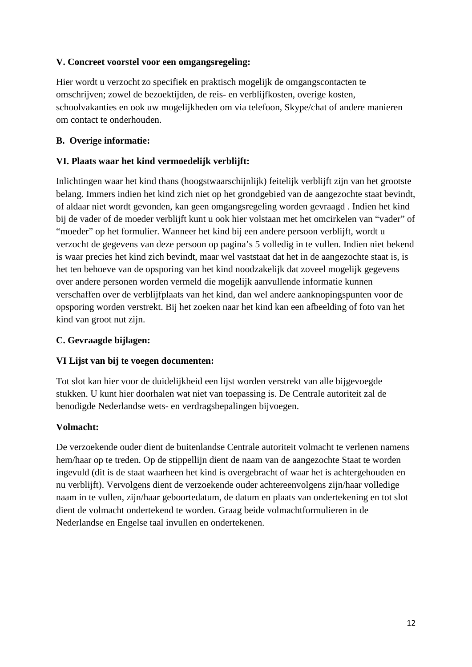# **V. Concreet voorstel voor een omgangsregeling:**

Hier wordt u verzocht zo specifiek en praktisch mogelijk de omgangscontacten te omschrijven; zowel de bezoektijden, de reis- en verblijfkosten, overige kosten, schoolvakanties en ook uw mogelijkheden om via telefoon, Skype/chat of andere manieren om contact te onderhouden.

# **B. Overige informatie:**

# **VI. Plaats waar het kind vermoedelijk verblijft:**

Inlichtingen waar het kind thans (hoogstwaarschijnlijk) feitelijk verblijft zijn van het grootste belang. Immers indien het kind zich niet op het grondgebied van de aangezochte staat bevindt, of aldaar niet wordt gevonden, kan geen omgangsregeling worden gevraagd . Indien het kind bij de vader of de moeder verblijft kunt u ook hier volstaan met het omcirkelen van "vader" of "moeder" op het formulier. Wanneer het kind bij een andere persoon verblijft, wordt u verzocht de gegevens van deze persoon op pagina's 5 volledig in te vullen. Indien niet bekend is waar precies het kind zich bevindt, maar wel vaststaat dat het in de aangezochte staat is, is het ten behoeve van de opsporing van het kind noodzakelijk dat zoveel mogelijk gegevens over andere personen worden vermeld die mogelijk aanvullende informatie kunnen verschaffen over de verblijfplaats van het kind, dan wel andere aanknopingspunten voor de opsporing worden verstrekt. Bij het zoeken naar het kind kan een afbeelding of foto van het kind van groot nut zijn.

# **C. Gevraagde bijlagen:**

# **VI Lijst van bij te voegen documenten:**

Tot slot kan hier voor de duidelijkheid een lijst worden verstrekt van alle bijgevoegde stukken. U kunt hier doorhalen wat niet van toepassing is. De Centrale autoriteit zal de benodigde Nederlandse wets- en verdragsbepalingen bijvoegen.

# **Volmacht:**

De verzoekende ouder dient de buitenlandse Centrale autoriteit volmacht te verlenen namens hem/haar op te treden. Op de stippellijn dient de naam van de aangezochte Staat te worden ingevuld (dit is de staat waarheen het kind is overgebracht of waar het is achtergehouden en nu verblijft). Vervolgens dient de verzoekende ouder achtereenvolgens zijn/haar volledige naam in te vullen, zijn/haar geboortedatum, de datum en plaats van ondertekening en tot slot dient de volmacht ondertekend te worden. Graag beide volmachtformulieren in de Nederlandse en Engelse taal invullen en ondertekenen.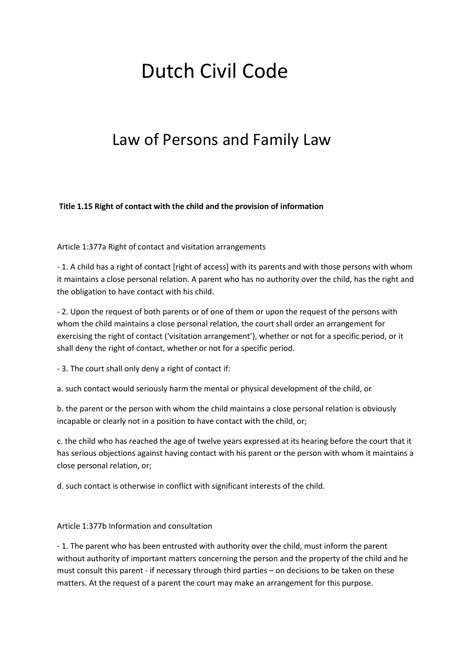# Dutch Civil Code

# Law of Persons and Family Law

**Title 1.15 Right of contact with the child and the provision of information**

Article 1:377a Right of contact and visitation arrangements

- 1. A child has a right of contact [right of access] with its parents and with those persons with whom it maintains a close personal relation. A parent who has no authority over the child, has the right and the obligation to have contact with his child.

- 2. Upon the request of both parents or of one of them or upon the request of the persons with whom the child maintains a close personal relation, the court shall order an arrangement for exercising the right of contact ('visitation arrangement'), whether or not for a specific period, or it shall deny the right of contact, whether or not for a specific period.

- 3. The court shall only deny a right of contact if:

a. such contact would seriously harm the mental or physical development of the child, or

b. the parent or the person with whom the child maintains a close personal relation is obviously incapable or clearly not in a position to have contact with the child, or;

c. the child who has reached the age of twelve years expressed at its hearing before the court that it has serious objections against having contact with his parent or the person with whom it maintains a close personal relation, or;

d. such contact is otherwise in conflict with significant interests of the child.

Article 1:377b Information and consultation

- 1. The parent who has been entrusted with authority over the child, must inform the parent without authority of important matters concerning the person and the property of the child and he must consult this parent - if necessary through third parties – on decisions to be taken on these matters. At the request of a parent the court may make an arrangement for this purpose.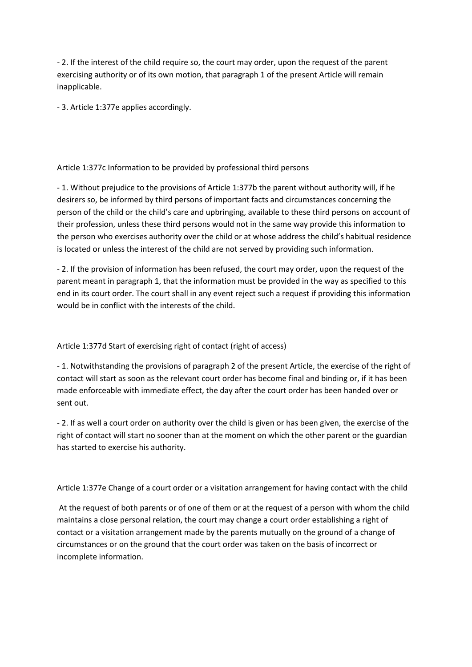- 2. If the interest of the child require so, the court may order, upon the request of the parent exercising authority or of its own motion, that paragraph 1 of the present Article will remain inapplicable.

- 3. Article 1:377e applies accordingly.

#### Article 1:377c Information to be provided by professional third persons

- 1. Without prejudice to the provisions of Article 1:377b the parent without authority will, if he desirers so, be informed by third persons of important facts and circumstances concerning the person of the child or the child's care and upbringing, available to these third persons on account of their profession, unless these third persons would not in the same way provide this information to the person who exercises authority over the child or at whose address the child's habitual residence is located or unless the interest of the child are not served by providing such information.

- 2. If the provision of information has been refused, the court may order, upon the request of the parent meant in paragraph 1, that the information must be provided in the way as specified to this end in its court order. The court shall in any event reject such a request if providing this information would be in conflict with the interests of the child.

#### Article 1:377d Start of exercising right of contact (right of access)

- 1. Notwithstanding the provisions of paragraph 2 of the present Article, the exercise of the right of contact will start as soon as the relevant court order has become final and binding or, if it has been made enforceable with immediate effect, the day after the court order has been handed over or sent out.

- 2. If as well a court order on authority over the child is given or has been given, the exercise of the right of contact will start no sooner than at the moment on which the other parent or the guardian has started to exercise his authority.

Article 1:377e Change of a court order or a visitation arrangement for having contact with the child

At the request of both parents or of one of them or at the request of a person with whom the child maintains a close personal relation, the court may change a court order establishing a right of contact or a visitation arrangement made by the parents mutually on the ground of a change of circumstances or on the ground that the court order was taken on the basis of incorrect or incomplete information.